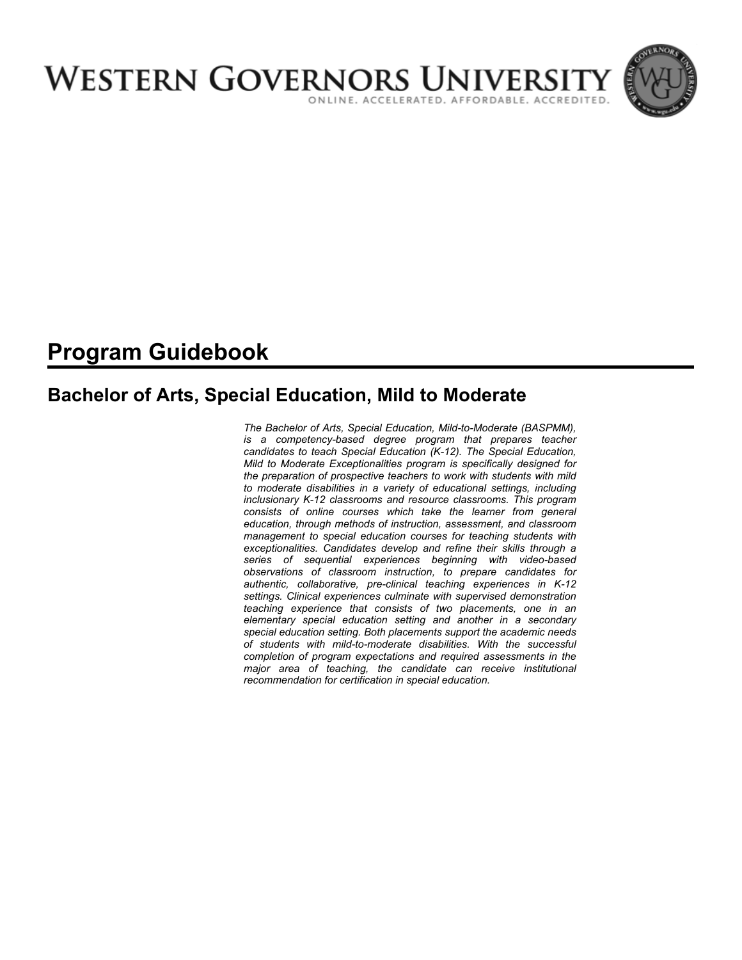

# **Program Guidebook**

# **Bachelor of Arts, Special Education, Mild to Moderate**

*The Bachelor of Arts, Special Education, Mild-to-Moderate (BASPMM), is a competency-based degree program that prepares teacher candidates to teach Special Education (K-12). The Special Education, Mild to Moderate Exceptionalities program is specifically designed for the preparation of prospective teachers to work with students with mild to moderate disabilities in a variety of educational settings, including inclusionary K-12 classrooms and resource classrooms. This program consists of online courses which take the learner from general education, through methods of instruction, assessment, and classroom management to special education courses for teaching students with exceptionalities. Candidates develop and refine their skills through a series of sequential experiences beginning with video-based observations of classroom instruction, to prepare candidates for authentic, collaborative, pre-clinical teaching experiences in K-12 settings. Clinical experiences culminate with supervised demonstration teaching experience that consists of two placements, one in an elementary special education setting and another in a secondary special education setting. Both placements support the academic needs of students with mild-to-moderate disabilities. With the successful completion of program expectations and required assessments in the major area of teaching, the candidate can receive institutional recommendation for certification in special education.*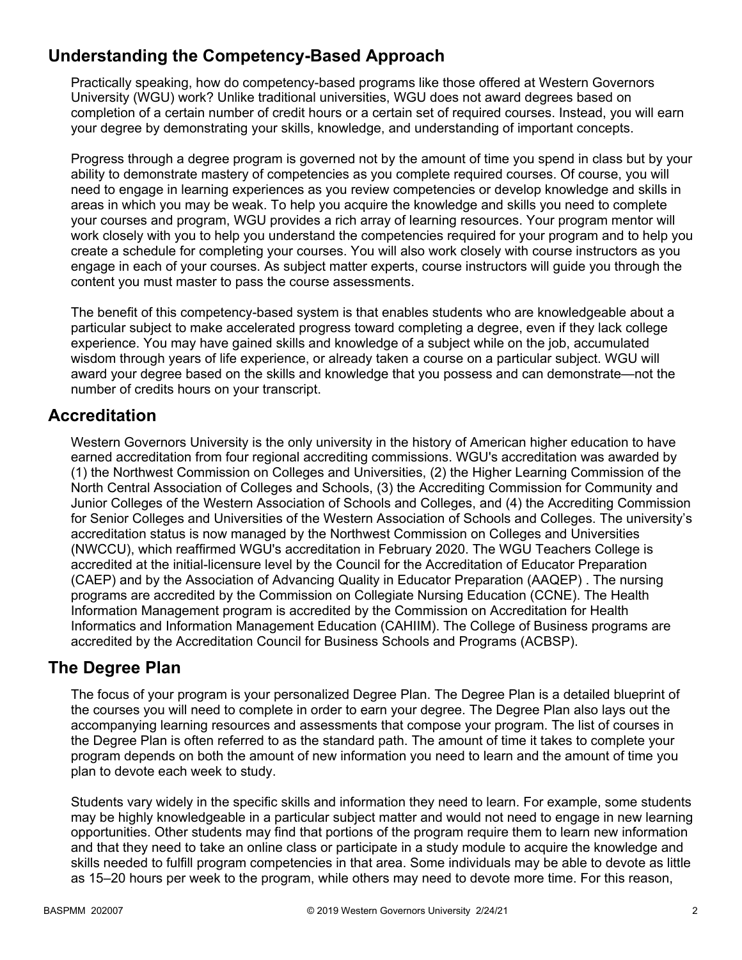# **Understanding the Competency-Based Approach**

Practically speaking, how do competency-based programs like those offered at Western Governors University (WGU) work? Unlike traditional universities, WGU does not award degrees based on completion of a certain number of credit hours or a certain set of required courses. Instead, you will earn your degree by demonstrating your skills, knowledge, and understanding of important concepts.

Progress through a degree program is governed not by the amount of time you spend in class but by your ability to demonstrate mastery of competencies as you complete required courses. Of course, you will need to engage in learning experiences as you review competencies or develop knowledge and skills in areas in which you may be weak. To help you acquire the knowledge and skills you need to complete your courses and program, WGU provides a rich array of learning resources. Your program mentor will work closely with you to help you understand the competencies required for your program and to help you create a schedule for completing your courses. You will also work closely with course instructors as you engage in each of your courses. As subject matter experts, course instructors will guide you through the content you must master to pass the course assessments.

The benefit of this competency-based system is that enables students who are knowledgeable about a particular subject to make accelerated progress toward completing a degree, even if they lack college experience. You may have gained skills and knowledge of a subject while on the job, accumulated wisdom through years of life experience, or already taken a course on a particular subject. WGU will award your degree based on the skills and knowledge that you possess and can demonstrate—not the number of credits hours on your transcript.

# **Accreditation**

Western Governors University is the only university in the history of American higher education to have earned accreditation from four regional accrediting commissions. WGU's accreditation was awarded by (1) the Northwest Commission on Colleges and Universities, (2) the Higher Learning Commission of the North Central Association of Colleges and Schools, (3) the Accrediting Commission for Community and Junior Colleges of the Western Association of Schools and Colleges, and (4) the Accrediting Commission for Senior Colleges and Universities of the Western Association of Schools and Colleges. The university's accreditation status is now managed by the Northwest Commission on Colleges and Universities (NWCCU), which reaffirmed WGU's accreditation in February 2020. The WGU Teachers College is accredited at the initial-licensure level by the Council for the Accreditation of Educator Preparation (CAEP) and by the Association of Advancing Quality in Educator Preparation (AAQEP) . The nursing programs are accredited by the Commission on Collegiate Nursing Education (CCNE). The Health Information Management program is accredited by the Commission on Accreditation for Health Informatics and Information Management Education (CAHIIM). The College of Business programs are accredited by the Accreditation Council for Business Schools and Programs (ACBSP).

# **The Degree Plan**

The focus of your program is your personalized Degree Plan. The Degree Plan is a detailed blueprint of the courses you will need to complete in order to earn your degree. The Degree Plan also lays out the accompanying learning resources and assessments that compose your program. The list of courses in the Degree Plan is often referred to as the standard path. The amount of time it takes to complete your program depends on both the amount of new information you need to learn and the amount of time you plan to devote each week to study.

Students vary widely in the specific skills and information they need to learn. For example, some students may be highly knowledgeable in a particular subject matter and would not need to engage in new learning opportunities. Other students may find that portions of the program require them to learn new information and that they need to take an online class or participate in a study module to acquire the knowledge and skills needed to fulfill program competencies in that area. Some individuals may be able to devote as little as 15–20 hours per week to the program, while others may need to devote more time. For this reason,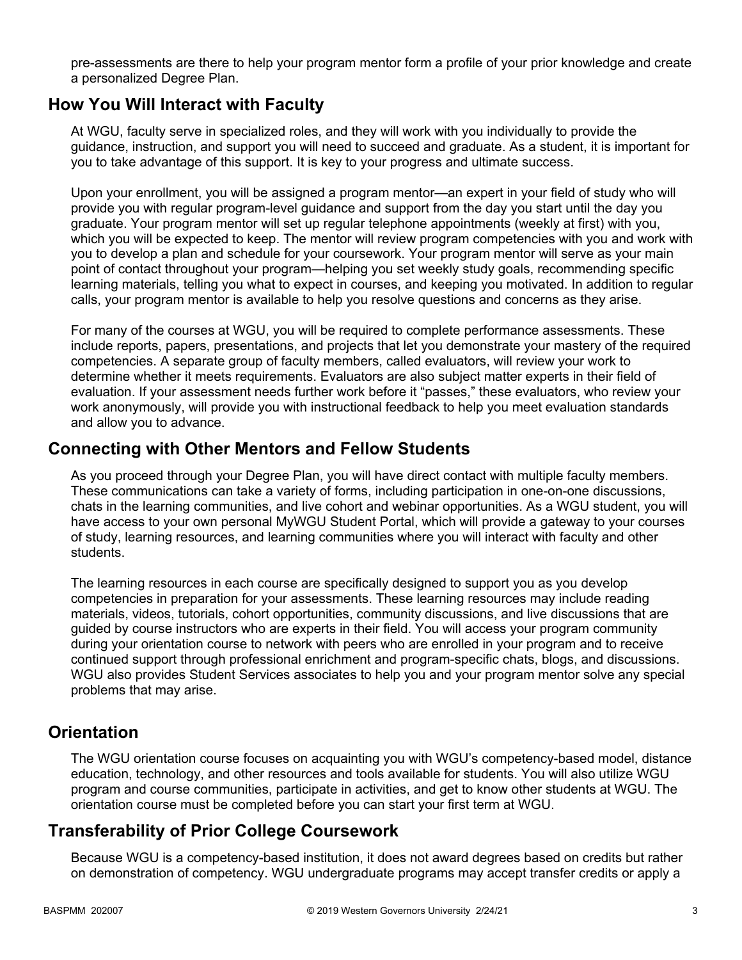pre-assessments are there to help your program mentor form a profile of your prior knowledge and create a personalized Degree Plan.

## **How You Will Interact with Faculty**

At WGU, faculty serve in specialized roles, and they will work with you individually to provide the guidance, instruction, and support you will need to succeed and graduate. As a student, it is important for you to take advantage of this support. It is key to your progress and ultimate success.

Upon your enrollment, you will be assigned a program mentor—an expert in your field of study who will provide you with regular program-level guidance and support from the day you start until the day you graduate. Your program mentor will set up regular telephone appointments (weekly at first) with you, which you will be expected to keep. The mentor will review program competencies with you and work with you to develop a plan and schedule for your coursework. Your program mentor will serve as your main point of contact throughout your program—helping you set weekly study goals, recommending specific learning materials, telling you what to expect in courses, and keeping you motivated. In addition to regular calls, your program mentor is available to help you resolve questions and concerns as they arise.

For many of the courses at WGU, you will be required to complete performance assessments. These include reports, papers, presentations, and projects that let you demonstrate your mastery of the required competencies. A separate group of faculty members, called evaluators, will review your work to determine whether it meets requirements. Evaluators are also subject matter experts in their field of evaluation. If your assessment needs further work before it "passes," these evaluators, who review your work anonymously, will provide you with instructional feedback to help you meet evaluation standards and allow you to advance.

## **Connecting with Other Mentors and Fellow Students**

As you proceed through your Degree Plan, you will have direct contact with multiple faculty members. These communications can take a variety of forms, including participation in one-on-one discussions, chats in the learning communities, and live cohort and webinar opportunities. As a WGU student, you will have access to your own personal MyWGU Student Portal, which will provide a gateway to your courses of study, learning resources, and learning communities where you will interact with faculty and other students.

The learning resources in each course are specifically designed to support you as you develop competencies in preparation for your assessments. These learning resources may include reading materials, videos, tutorials, cohort opportunities, community discussions, and live discussions that are guided by course instructors who are experts in their field. You will access your program community during your orientation course to network with peers who are enrolled in your program and to receive continued support through professional enrichment and program-specific chats, blogs, and discussions. WGU also provides Student Services associates to help you and your program mentor solve any special problems that may arise.

# **Orientation**

The WGU orientation course focuses on acquainting you with WGU's competency-based model, distance education, technology, and other resources and tools available for students. You will also utilize WGU program and course communities, participate in activities, and get to know other students at WGU. The orientation course must be completed before you can start your first term at WGU.

# **Transferability of Prior College Coursework**

Because WGU is a competency-based institution, it does not award degrees based on credits but rather on demonstration of competency. WGU undergraduate programs may accept transfer credits or apply a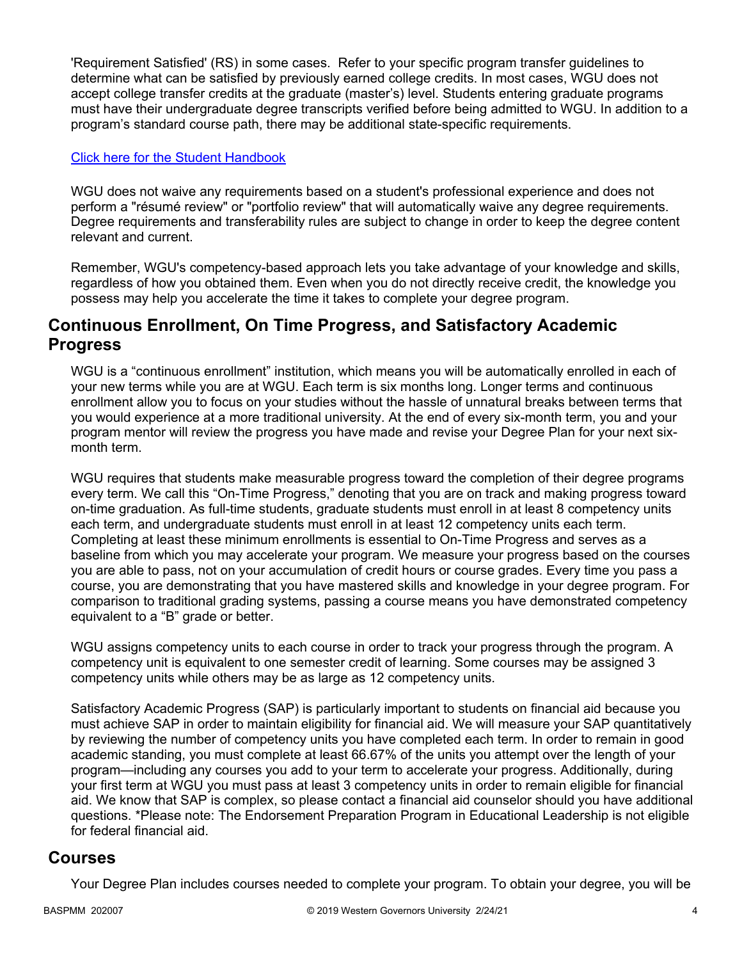'Requirement Satisfied' (RS) in some cases. Refer to your specific program transfer guidelines to determine what can be satisfied by previously earned college credits. In most cases, WGU does not accept college transfer credits at the graduate (master's) level. Students entering graduate programs must have their undergraduate degree transcripts verified before being admitted to WGU. In addition to a program's standard course path, there may be additional state-specific requirements.

## [Click here for the Student Handbook](http://cm.wgu.edu/)

WGU does not waive any requirements based on a student's professional experience and does not perform a "résumé review" or "portfolio review" that will automatically waive any degree requirements. Degree requirements and transferability rules are subject to change in order to keep the degree content relevant and current.

Remember, WGU's competency-based approach lets you take advantage of your knowledge and skills, regardless of how you obtained them. Even when you do not directly receive credit, the knowledge you possess may help you accelerate the time it takes to complete your degree program.

## **Continuous Enrollment, On Time Progress, and Satisfactory Academic Progress**

WGU is a "continuous enrollment" institution, which means you will be automatically enrolled in each of your new terms while you are at WGU. Each term is six months long. Longer terms and continuous enrollment allow you to focus on your studies without the hassle of unnatural breaks between terms that you would experience at a more traditional university. At the end of every six-month term, you and your program mentor will review the progress you have made and revise your Degree Plan for your next sixmonth term.

WGU requires that students make measurable progress toward the completion of their degree programs every term. We call this "On-Time Progress," denoting that you are on track and making progress toward on-time graduation. As full-time students, graduate students must enroll in at least 8 competency units each term, and undergraduate students must enroll in at least 12 competency units each term. Completing at least these minimum enrollments is essential to On-Time Progress and serves as a baseline from which you may accelerate your program. We measure your progress based on the courses you are able to pass, not on your accumulation of credit hours or course grades. Every time you pass a course, you are demonstrating that you have mastered skills and knowledge in your degree program. For comparison to traditional grading systems, passing a course means you have demonstrated competency equivalent to a "B" grade or better.

WGU assigns competency units to each course in order to track your progress through the program. A competency unit is equivalent to one semester credit of learning. Some courses may be assigned 3 competency units while others may be as large as 12 competency units.

Satisfactory Academic Progress (SAP) is particularly important to students on financial aid because you must achieve SAP in order to maintain eligibility for financial aid. We will measure your SAP quantitatively by reviewing the number of competency units you have completed each term. In order to remain in good academic standing, you must complete at least 66.67% of the units you attempt over the length of your program—including any courses you add to your term to accelerate your progress. Additionally, during your first term at WGU you must pass at least 3 competency units in order to remain eligible for financial aid. We know that SAP is complex, so please contact a financial aid counselor should you have additional questions. \*Please note: The Endorsement Preparation Program in Educational Leadership is not eligible for federal financial aid.

## **Courses**

Your Degree Plan includes courses needed to complete your program. To obtain your degree, you will be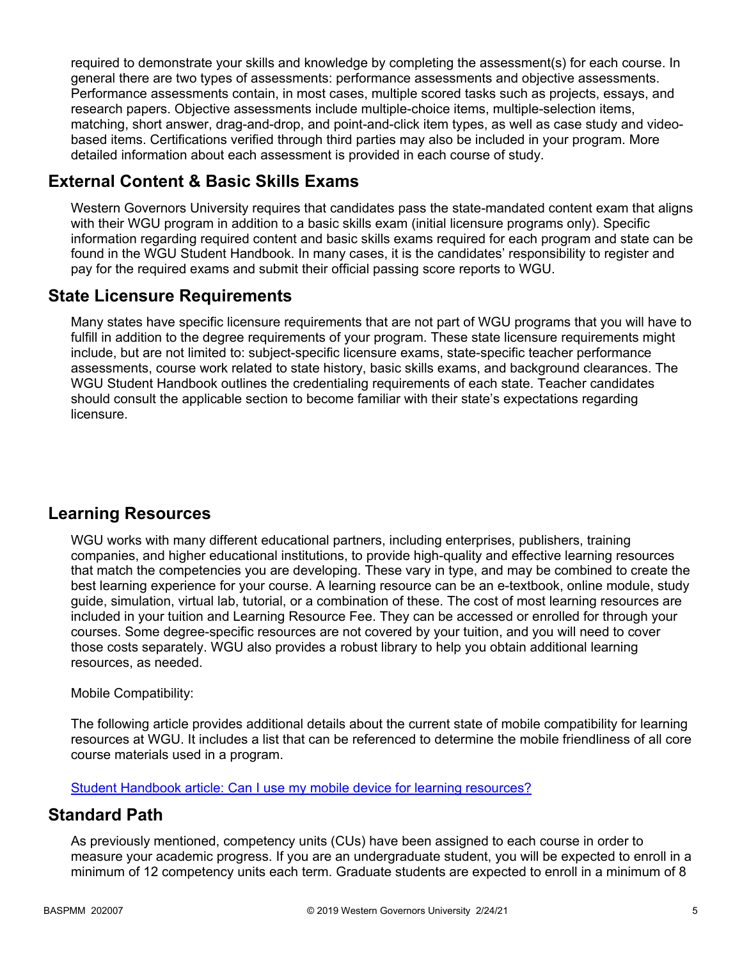required to demonstrate your skills and knowledge by completing the assessment(s) for each course. In general there are two types of assessments: performance assessments and objective assessments. Performance assessments contain, in most cases, multiple scored tasks such as projects, essays, and research papers. Objective assessments include multiple-choice items, multiple-selection items, matching, short answer, drag-and-drop, and point-and-click item types, as well as case study and videobased items. Certifications verified through third parties may also be included in your program. More detailed information about each assessment is provided in each course of study.

# **External Content & Basic Skills Exams**

Western Governors University requires that candidates pass the state-mandated content exam that aligns with their WGU program in addition to a basic skills exam (initial licensure programs only). Specific information regarding required content and basic skills exams required for each program and state can be found in the WGU Student Handbook. In many cases, it is the candidates' responsibility to register and pay for the required exams and submit their official passing score reports to WGU.

# **State Licensure Requirements**

Many states have specific licensure requirements that are not part of WGU programs that you will have to fulfill in addition to the degree requirements of your program. These state licensure requirements might include, but are not limited to: subject-specific licensure exams, state-specific teacher performance assessments, course work related to state history, basic skills exams, and background clearances. The WGU Student Handbook outlines the credentialing requirements of each state. Teacher candidates should consult the applicable section to become familiar with their state's expectations regarding licensure.

# **Learning Resources**

WGU works with many different educational partners, including enterprises, publishers, training companies, and higher educational institutions, to provide high-quality and effective learning resources that match the competencies you are developing. These vary in type, and may be combined to create the best learning experience for your course. A learning resource can be an e-textbook, online module, study guide, simulation, virtual lab, tutorial, or a combination of these. The cost of most learning resources are included in your tuition and Learning Resource Fee. They can be accessed or enrolled for through your courses. Some degree-specific resources are not covered by your tuition, and you will need to cover those costs separately. WGU also provides a robust library to help you obtain additional learning resources, as needed.

## Mobile Compatibility:

The following article provides additional details about the current state of mobile compatibility for learning resources at WGU. It includes a list that can be referenced to determine the mobile friendliness of all core course materials used in a program.

[Student Handbook article: Can I use my mobile device for learning resources?](https://cm.wgu.edu/t5/Frequently-Asked-Questions/Can-I-use-my-mobile-device-for-learning-resources/ta-p/396)

# **Standard Path**

As previously mentioned, competency units (CUs) have been assigned to each course in order to measure your academic progress. If you are an undergraduate student, you will be expected to enroll in a minimum of 12 competency units each term. Graduate students are expected to enroll in a minimum of 8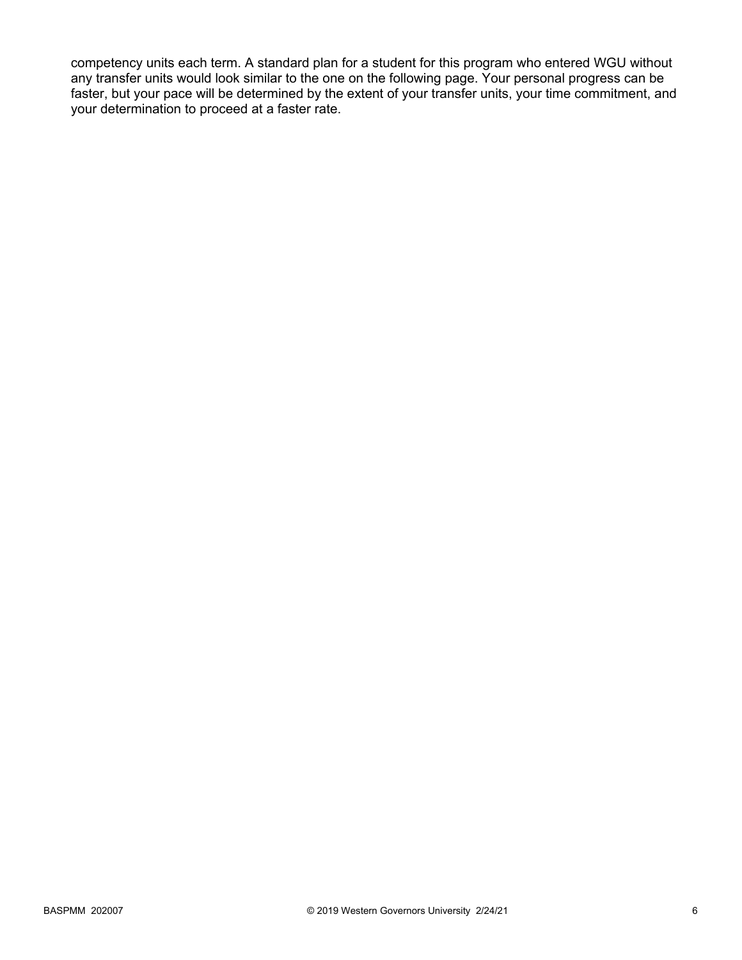competency units each term. A standard plan for a student for this program who entered WGU without any transfer units would look similar to the one on the following page. Your personal progress can be faster, but your pace will be determined by the extent of your transfer units, your time commitment, and your determination to proceed at a faster rate.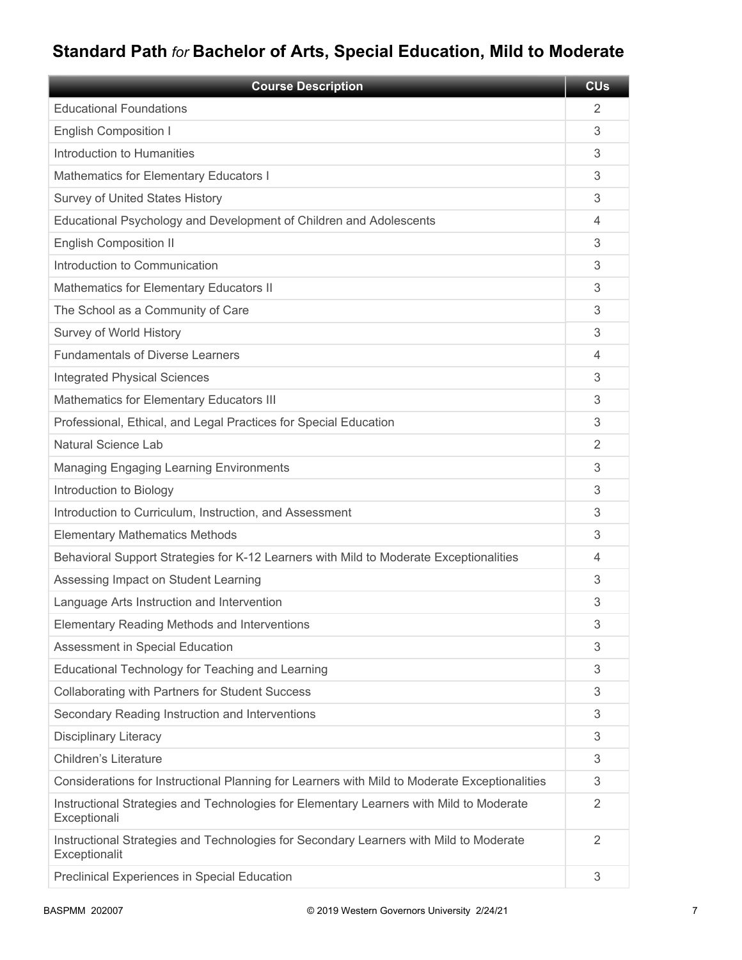# **Standard Path** *for* **Bachelor of Arts, Special Education, Mild to Moderate**

| <b>Course Description</b>                                                                               | <b>CUs</b> |
|---------------------------------------------------------------------------------------------------------|------------|
| <b>Educational Foundations</b>                                                                          | 2          |
| <b>English Composition I</b>                                                                            | 3          |
| Introduction to Humanities                                                                              | 3          |
| Mathematics for Elementary Educators I                                                                  | 3          |
| <b>Survey of United States History</b>                                                                  | 3          |
| Educational Psychology and Development of Children and Adolescents                                      | 4          |
| <b>English Composition II</b>                                                                           | 3          |
| Introduction to Communication                                                                           | 3          |
| Mathematics for Elementary Educators II                                                                 | 3          |
| The School as a Community of Care                                                                       | 3          |
| Survey of World History                                                                                 | 3          |
| <b>Fundamentals of Diverse Learners</b>                                                                 | 4          |
| <b>Integrated Physical Sciences</b>                                                                     | 3          |
| Mathematics for Elementary Educators III                                                                | 3          |
| Professional, Ethical, and Legal Practices for Special Education                                        | 3          |
| <b>Natural Science Lab</b>                                                                              | 2          |
| <b>Managing Engaging Learning Environments</b>                                                          | 3          |
| Introduction to Biology                                                                                 | 3          |
| Introduction to Curriculum, Instruction, and Assessment                                                 | 3          |
| <b>Elementary Mathematics Methods</b>                                                                   | 3          |
| Behavioral Support Strategies for K-12 Learners with Mild to Moderate Exceptionalities                  | 4          |
| Assessing Impact on Student Learning                                                                    | 3          |
| Language Arts Instruction and Intervention                                                              | 3          |
| <b>Elementary Reading Methods and Interventions</b>                                                     | 3          |
| Assessment in Special Education                                                                         | 3          |
| Educational Technology for Teaching and Learning                                                        | 3          |
| Collaborating with Partners for Student Success                                                         | 3          |
| Secondary Reading Instruction and Interventions                                                         | 3          |
| <b>Disciplinary Literacy</b>                                                                            | 3          |
| <b>Children's Literature</b>                                                                            | 3          |
| Considerations for Instructional Planning for Learners with Mild to Moderate Exceptionalities           | 3          |
| Instructional Strategies and Technologies for Elementary Learners with Mild to Moderate<br>Exceptionali | 2          |
| Instructional Strategies and Technologies for Secondary Learners with Mild to Moderate<br>Exceptionalit | 2          |
| Preclinical Experiences in Special Education                                                            | 3          |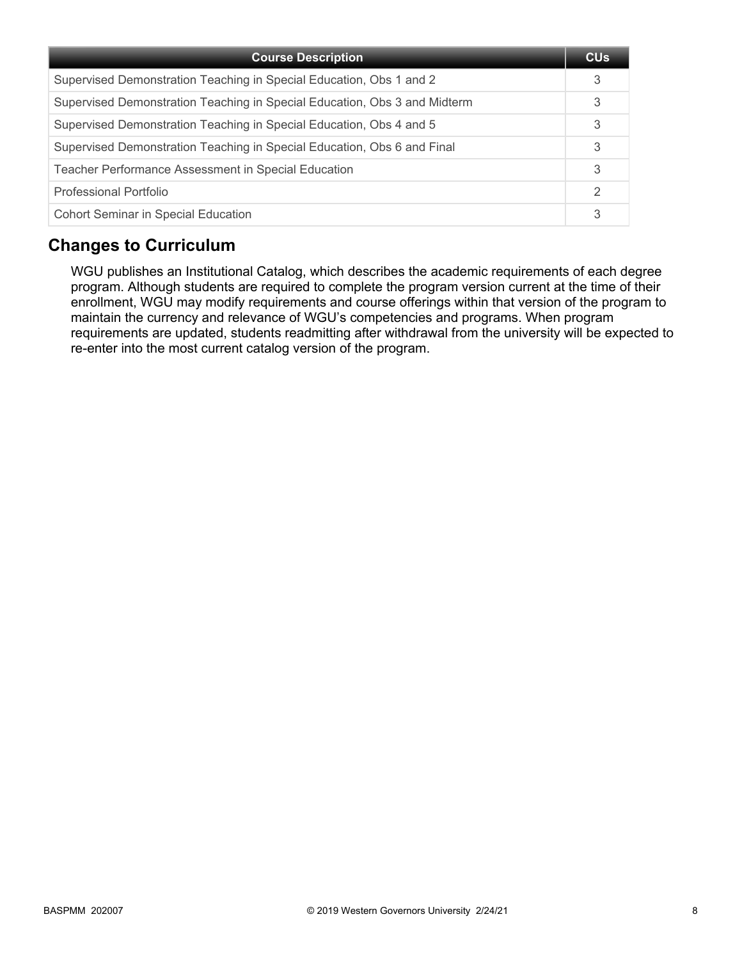| <b>Course Description</b>                                                 | CU <sub>s</sub> |
|---------------------------------------------------------------------------|-----------------|
| Supervised Demonstration Teaching in Special Education, Obs 1 and 2       | 3               |
| Supervised Demonstration Teaching in Special Education, Obs 3 and Midterm | 3               |
| Supervised Demonstration Teaching in Special Education, Obs 4 and 5       | 3               |
| Supervised Demonstration Teaching in Special Education, Obs 6 and Final   | 3               |
| <b>Teacher Performance Assessment in Special Education</b>                | 3               |
| Professional Portfolio                                                    | 2               |
| <b>Cohort Seminar in Special Education</b>                                | 3               |

# **Changes to Curriculum**

WGU publishes an Institutional Catalog, which describes the academic requirements of each degree program. Although students are required to complete the program version current at the time of their enrollment, WGU may modify requirements and course offerings within that version of the program to maintain the currency and relevance of WGU's competencies and programs. When program requirements are updated, students readmitting after withdrawal from the university will be expected to re-enter into the most current catalog version of the program.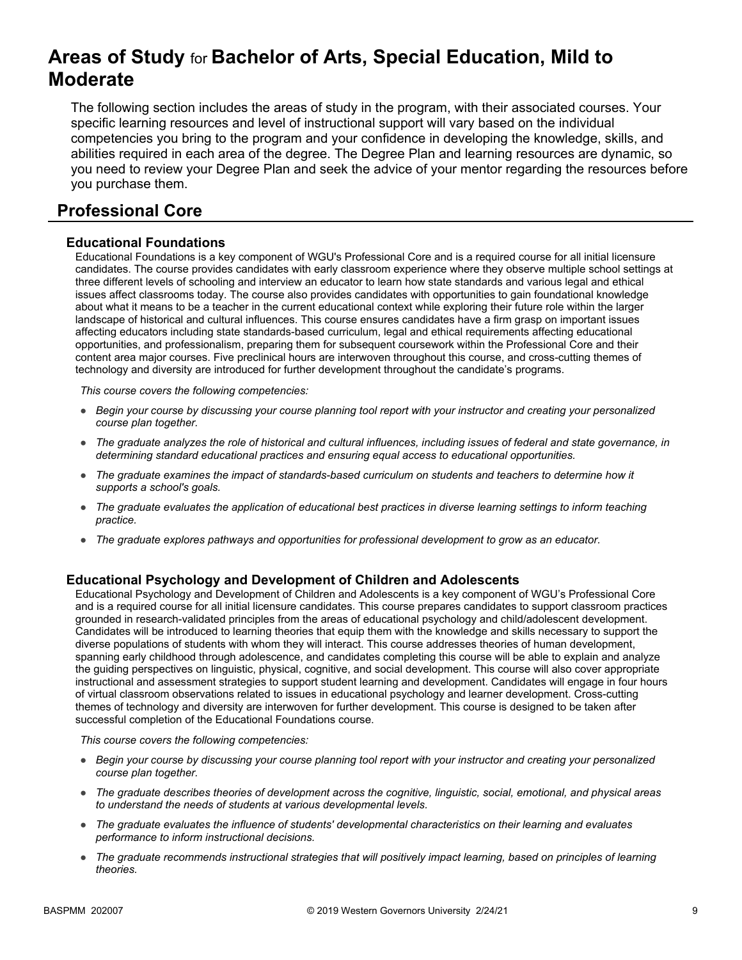# **Areas of Study** for **Bachelor of Arts, Special Education, Mild to Moderate**

The following section includes the areas of study in the program, with their associated courses. Your specific learning resources and level of instructional support will vary based on the individual competencies you bring to the program and your confidence in developing the knowledge, skills, and abilities required in each area of the degree. The Degree Plan and learning resources are dynamic, so you need to review your Degree Plan and seek the advice of your mentor regarding the resources before you purchase them.

# **Professional Core**

## **Educational Foundations**

Educational Foundations is a key component of WGU's Professional Core and is a required course for all initial licensure candidates. The course provides candidates with early classroom experience where they observe multiple school settings at three different levels of schooling and interview an educator to learn how state standards and various legal and ethical issues affect classrooms today. The course also provides candidates with opportunities to gain foundational knowledge about what it means to be a teacher in the current educational context while exploring their future role within the larger landscape of historical and cultural influences. This course ensures candidates have a firm grasp on important issues affecting educators including state standards-based curriculum, legal and ethical requirements affecting educational opportunities, and professionalism, preparing them for subsequent coursework within the Professional Core and their content area major courses. Five preclinical hours are interwoven throughout this course, and cross-cutting themes of technology and diversity are introduced for further development throughout the candidate's programs.

*This course covers the following competencies:*

- *Begin your course by discussing your course planning tool report with your instructor and creating your personalized course plan together.*
- *The graduate analyzes the role of historical and cultural influences, including issues of federal and state governance, in determining standard educational practices and ensuring equal access to educational opportunities.*
- *The graduate examines the impact of standards-based curriculum on students and teachers to determine how it supports a school's goals.*
- *The graduate evaluates the application of educational best practices in diverse learning settings to inform teaching practice.*
- *The graduate explores pathways and opportunities for professional development to grow as an educator.*

#### **Educational Psychology and Development of Children and Adolescents**

Educational Psychology and Development of Children and Adolescents is a key component of WGU's Professional Core and is a required course for all initial licensure candidates. This course prepares candidates to support classroom practices grounded in research-validated principles from the areas of educational psychology and child/adolescent development. Candidates will be introduced to learning theories that equip them with the knowledge and skills necessary to support the diverse populations of students with whom they will interact. This course addresses theories of human development, spanning early childhood through adolescence, and candidates completing this course will be able to explain and analyze the guiding perspectives on linguistic, physical, cognitive, and social development. This course will also cover appropriate instructional and assessment strategies to support student learning and development. Candidates will engage in four hours of virtual classroom observations related to issues in educational psychology and learner development. Cross-cutting themes of technology and diversity are interwoven for further development. This course is designed to be taken after successful completion of the Educational Foundations course.

- *Begin your course by discussing your course planning tool report with your instructor and creating your personalized course plan together.*
- *The graduate describes theories of development across the cognitive, linguistic, social, emotional, and physical areas to understand the needs of students at various developmental levels.*
- *The graduate evaluates the influence of students' developmental characteristics on their learning and evaluates performance to inform instructional decisions.*
- *The graduate recommends instructional strategies that will positively impact learning, based on principles of learning theories.*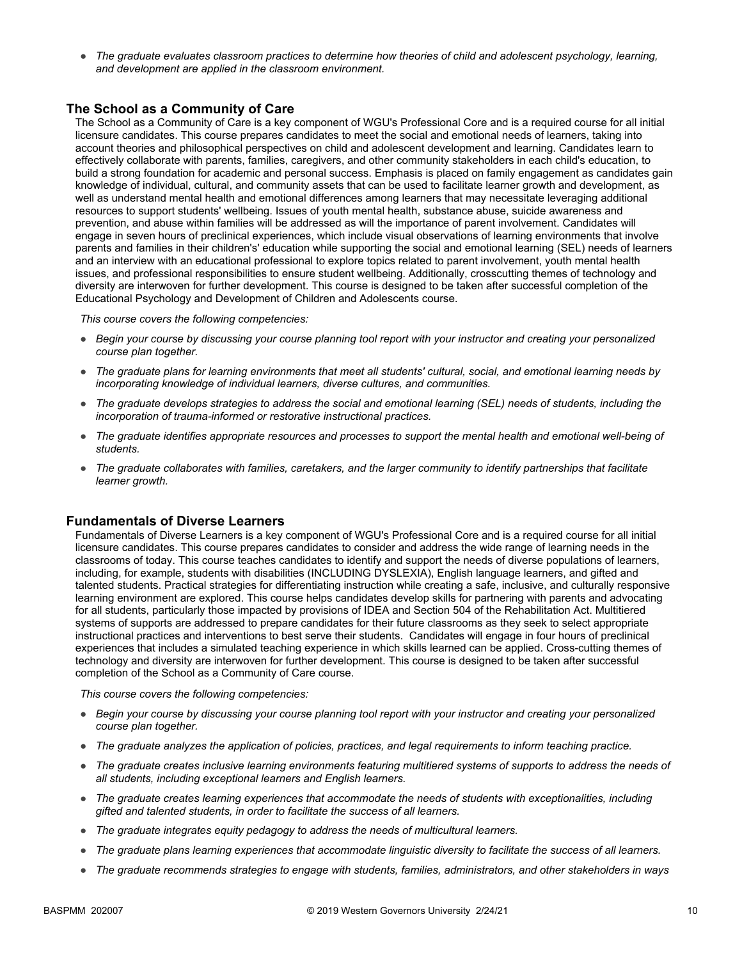● *The graduate evaluates classroom practices to determine how theories of child and adolescent psychology, learning, and development are applied in the classroom environment.*

## **The School as a Community of Care**

The School as a Community of Care is a key component of WGU's Professional Core and is a required course for all initial licensure candidates. This course prepares candidates to meet the social and emotional needs of learners, taking into account theories and philosophical perspectives on child and adolescent development and learning. Candidates learn to effectively collaborate with parents, families, caregivers, and other community stakeholders in each child's education, to build a strong foundation for academic and personal success. Emphasis is placed on family engagement as candidates gain knowledge of individual, cultural, and community assets that can be used to facilitate learner growth and development, as well as understand mental health and emotional differences among learners that may necessitate leveraging additional resources to support students' wellbeing. Issues of youth mental health, substance abuse, suicide awareness and prevention, and abuse within families will be addressed as will the importance of parent involvement. Candidates will engage in seven hours of preclinical experiences, which include visual observations of learning environments that involve parents and families in their children's' education while supporting the social and emotional learning (SEL) needs of learners and an interview with an educational professional to explore topics related to parent involvement, youth mental health issues, and professional responsibilities to ensure student wellbeing. Additionally, crosscutting themes of technology and diversity are interwoven for further development. This course is designed to be taken after successful completion of the Educational Psychology and Development of Children and Adolescents course.

*This course covers the following competencies:*

- *Begin your course by discussing your course planning tool report with your instructor and creating your personalized course plan together.*
- *The graduate plans for learning environments that meet all students' cultural, social, and emotional learning needs by incorporating knowledge of individual learners, diverse cultures, and communities.*
- *The graduate develops strategies to address the social and emotional learning (SEL) needs of students, including the incorporation of trauma-informed or restorative instructional practices.*
- *The graduate identifies appropriate resources and processes to support the mental health and emotional well-being of students.*
- *The graduate collaborates with families, caretakers, and the larger community to identify partnerships that facilitate learner growth.*

#### **Fundamentals of Diverse Learners**

Fundamentals of Diverse Learners is a key component of WGU's Professional Core and is a required course for all initial licensure candidates. This course prepares candidates to consider and address the wide range of learning needs in the classrooms of today. This course teaches candidates to identify and support the needs of diverse populations of learners, including, for example, students with disabilities (INCLUDING DYSLEXIA), English language learners, and gifted and talented students. Practical strategies for differentiating instruction while creating a safe, inclusive, and culturally responsive learning environment are explored. This course helps candidates develop skills for partnering with parents and advocating for all students, particularly those impacted by provisions of IDEA and Section 504 of the Rehabilitation Act. Multitiered systems of supports are addressed to prepare candidates for their future classrooms as they seek to select appropriate instructional practices and interventions to best serve their students. Candidates will engage in four hours of preclinical experiences that includes a simulated teaching experience in which skills learned can be applied. Cross-cutting themes of technology and diversity are interwoven for further development. This course is designed to be taken after successful completion of the School as a Community of Care course.

- *Begin your course by discussing your course planning tool report with your instructor and creating your personalized course plan together.*
- *The graduate analyzes the application of policies, practices, and legal requirements to inform teaching practice.*
- *The graduate creates inclusive learning environments featuring multitiered systems of supports to address the needs of all students, including exceptional learners and English learners.*
- *The graduate creates learning experiences that accommodate the needs of students with exceptionalities, including gifted and talented students, in order to facilitate the success of all learners.*
- *The graduate integrates equity pedagogy to address the needs of multicultural learners.*
- *The graduate plans learning experiences that accommodate linguistic diversity to facilitate the success of all learners.*
- *The graduate recommends strategies to engage with students, families, administrators, and other stakeholders in ways*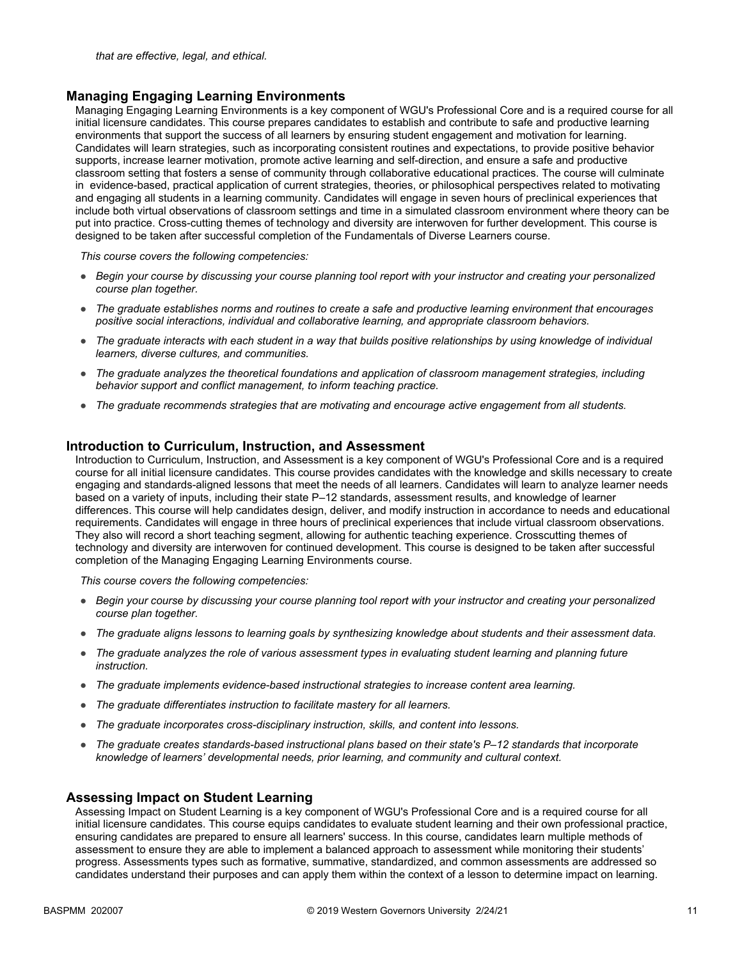#### **Managing Engaging Learning Environments**

Managing Engaging Learning Environments is a key component of WGU's Professional Core and is a required course for all initial licensure candidates. This course prepares candidates to establish and contribute to safe and productive learning environments that support the success of all learners by ensuring student engagement and motivation for learning. Candidates will learn strategies, such as incorporating consistent routines and expectations, to provide positive behavior supports, increase learner motivation, promote active learning and self-direction, and ensure a safe and productive classroom setting that fosters a sense of community through collaborative educational practices. The course will culminate in evidence-based, practical application of current strategies, theories, or philosophical perspectives related to motivating and engaging all students in a learning community. Candidates will engage in seven hours of preclinical experiences that include both virtual observations of classroom settings and time in a simulated classroom environment where theory can be put into practice. Cross-cutting themes of technology and diversity are interwoven for further development. This course is designed to be taken after successful completion of the Fundamentals of Diverse Learners course.

*This course covers the following competencies:*

- *Begin your course by discussing your course planning tool report with your instructor and creating your personalized course plan together.*
- *The graduate establishes norms and routines to create a safe and productive learning environment that encourages positive social interactions, individual and collaborative learning, and appropriate classroom behaviors.*
- *The graduate interacts with each student in a way that builds positive relationships by using knowledge of individual learners, diverse cultures, and communities.*
- *The graduate analyzes the theoretical foundations and application of classroom management strategies, including behavior support and conflict management, to inform teaching practice.*
- *The graduate recommends strategies that are motivating and encourage active engagement from all students.*

#### **Introduction to Curriculum, Instruction, and Assessment**

Introduction to Curriculum, Instruction, and Assessment is a key component of WGU's Professional Core and is a required course for all initial licensure candidates. This course provides candidates with the knowledge and skills necessary to create engaging and standards-aligned lessons that meet the needs of all learners. Candidates will learn to analyze learner needs based on a variety of inputs, including their state P–12 standards, assessment results, and knowledge of learner differences. This course will help candidates design, deliver, and modify instruction in accordance to needs and educational requirements. Candidates will engage in three hours of preclinical experiences that include virtual classroom observations. They also will record a short teaching segment, allowing for authentic teaching experience. Crosscutting themes of technology and diversity are interwoven for continued development. This course is designed to be taken after successful completion of the Managing Engaging Learning Environments course.

*This course covers the following competencies:*

- *Begin your course by discussing your course planning tool report with your instructor and creating your personalized course plan together.*
- *The graduate aligns lessons to learning goals by synthesizing knowledge about students and their assessment data.*
- *The graduate analyzes the role of various assessment types in evaluating student learning and planning future instruction.*
- *The graduate implements evidence-based instructional strategies to increase content area learning.*
- *The graduate differentiates instruction to facilitate mastery for all learners.*
- *The graduate incorporates cross-disciplinary instruction, skills, and content into lessons.*
- *The graduate creates standards-based instructional plans based on their state's P–12 standards that incorporate knowledge of learners' developmental needs, prior learning, and community and cultural context.*

#### **Assessing Impact on Student Learning**

Assessing Impact on Student Learning is a key component of WGU's Professional Core and is a required course for all initial licensure candidates. This course equips candidates to evaluate student learning and their own professional practice, ensuring candidates are prepared to ensure all learners' success. In this course, candidates learn multiple methods of assessment to ensure they are able to implement a balanced approach to assessment while monitoring their students' progress. Assessments types such as formative, summative, standardized, and common assessments are addressed so candidates understand their purposes and can apply them within the context of a lesson to determine impact on learning.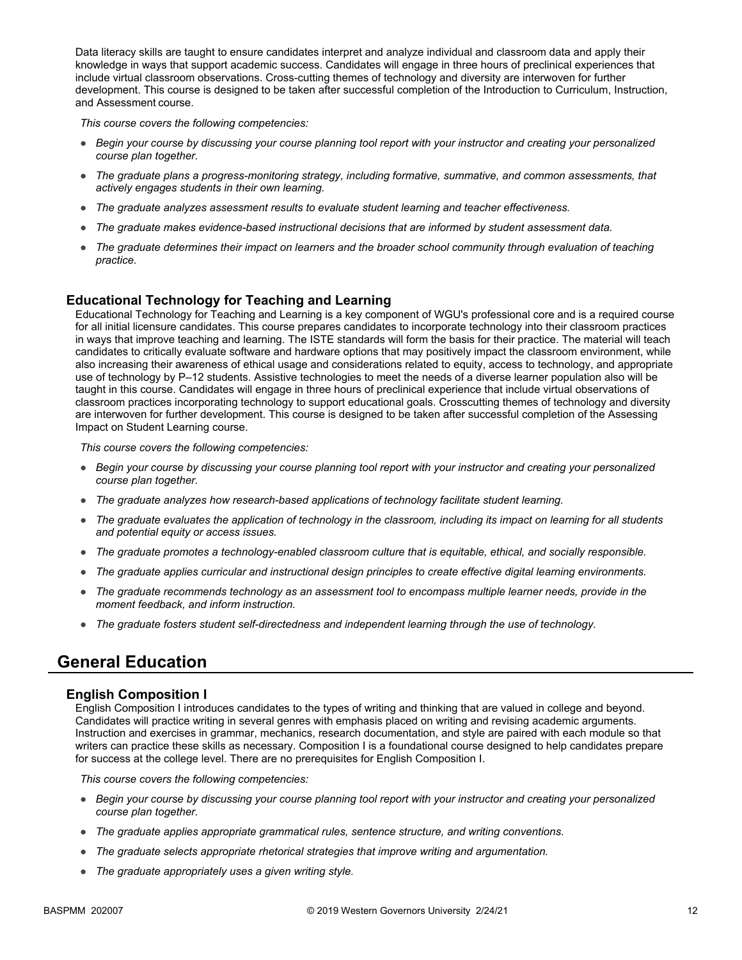Data literacy skills are taught to ensure candidates interpret and analyze individual and classroom data and apply their knowledge in ways that support academic success. Candidates will engage in three hours of preclinical experiences that include virtual classroom observations. Cross-cutting themes of technology and diversity are interwoven for further development. This course is designed to be taken after successful completion of the Introduction to Curriculum, Instruction, and Assessment course.

*This course covers the following competencies:*

- *Begin your course by discussing your course planning tool report with your instructor and creating your personalized course plan together.*
- *The graduate plans a progress-monitoring strategy, including formative, summative, and common assessments, that actively engages students in their own learning.*
- *The graduate analyzes assessment results to evaluate student learning and teacher effectiveness.*
- *The graduate makes evidence-based instructional decisions that are informed by student assessment data.*
- The graduate determines their impact on learners and the broader school community through evaluation of teaching *practice.*

## **Educational Technology for Teaching and Learning**

Educational Technology for Teaching and Learning is a key component of WGU's professional core and is a required course for all initial licensure candidates. This course prepares candidates to incorporate technology into their classroom practices in ways that improve teaching and learning. The ISTE standards will form the basis for their practice. The material will teach candidates to critically evaluate software and hardware options that may positively impact the classroom environment, while also increasing their awareness of ethical usage and considerations related to equity, access to technology, and appropriate use of technology by P–12 students. Assistive technologies to meet the needs of a diverse learner population also will be taught in this course. Candidates will engage in three hours of preclinical experience that include virtual observations of classroom practices incorporating technology to support educational goals. Crosscutting themes of technology and diversity are interwoven for further development. This course is designed to be taken after successful completion of the Assessing Impact on Student Learning course.

*This course covers the following competencies:*

- *Begin your course by discussing your course planning tool report with your instructor and creating your personalized course plan together.*
- *The graduate analyzes how research-based applications of technology facilitate student learning.*
- *The graduate evaluates the application of technology in the classroom, including its impact on learning for all students and potential equity or access issues.*
- *The graduate promotes a technology-enabled classroom culture that is equitable, ethical, and socially responsible.*
- *The graduate applies curricular and instructional design principles to create effective digital learning environments.*
- *The graduate recommends technology as an assessment tool to encompass multiple learner needs, provide in the moment feedback, and inform instruction.*
- *The graduate fosters student self-directedness and independent learning through the use of technology.*

## **General Education**

#### **English Composition I**

English Composition I introduces candidates to the types of writing and thinking that are valued in college and beyond. Candidates will practice writing in several genres with emphasis placed on writing and revising academic arguments. Instruction and exercises in grammar, mechanics, research documentation, and style are paired with each module so that writers can practice these skills as necessary. Composition I is a foundational course designed to help candidates prepare for success at the college level. There are no prerequisites for English Composition I.

- *Begin your course by discussing your course planning tool report with your instructor and creating your personalized course plan together.*
- *The graduate applies appropriate grammatical rules, sentence structure, and writing conventions.*
- *The graduate selects appropriate rhetorical strategies that improve writing and argumentation.*
- *The graduate appropriately uses a given writing style.*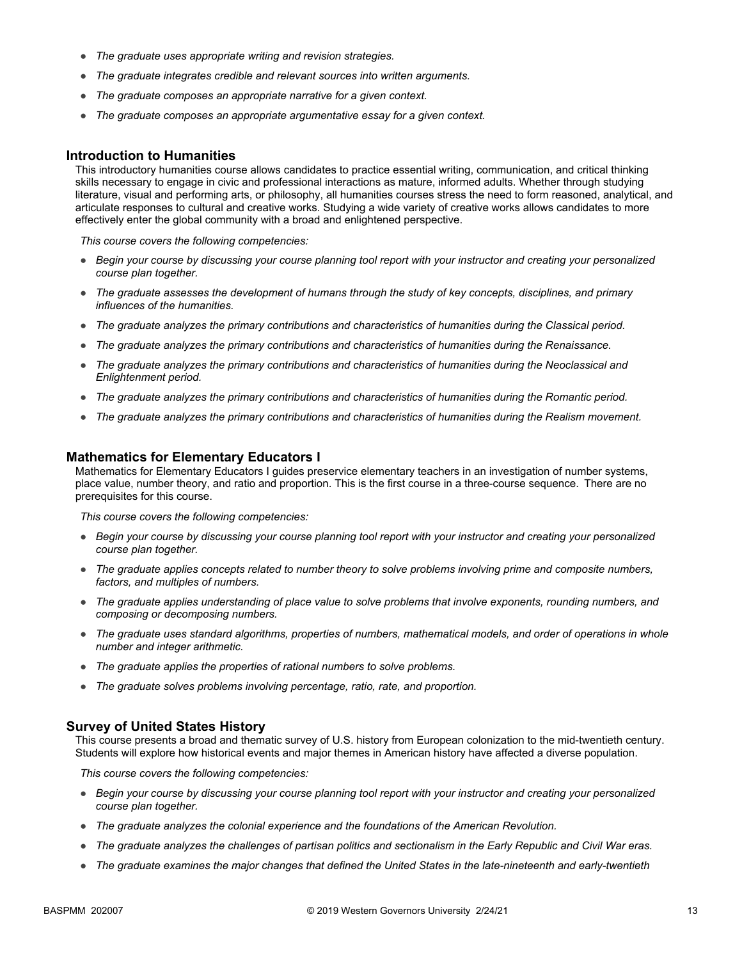- *The graduate uses appropriate writing and revision strategies.*
- *The graduate integrates credible and relevant sources into written arguments.*
- *The graduate composes an appropriate narrative for a given context.*
- *The graduate composes an appropriate argumentative essay for a given context.*

#### **Introduction to Humanities**

This introductory humanities course allows candidates to practice essential writing, communication, and critical thinking skills necessary to engage in civic and professional interactions as mature, informed adults. Whether through studying literature, visual and performing arts, or philosophy, all humanities courses stress the need to form reasoned, analytical, and articulate responses to cultural and creative works. Studying a wide variety of creative works allows candidates to more effectively enter the global community with a broad and enlightened perspective.

*This course covers the following competencies:*

- *Begin your course by discussing your course planning tool report with your instructor and creating your personalized course plan together.*
- *The graduate assesses the development of humans through the study of key concepts, disciplines, and primary influences of the humanities.*
- *The graduate analyzes the primary contributions and characteristics of humanities during the Classical period.*
- *The graduate analyzes the primary contributions and characteristics of humanities during the Renaissance.*
- *The graduate analyzes the primary contributions and characteristics of humanities during the Neoclassical and Enlightenment period.*
- *The graduate analyzes the primary contributions and characteristics of humanities during the Romantic period.*
- *The graduate analyzes the primary contributions and characteristics of humanities during the Realism movement.*

#### **Mathematics for Elementary Educators I**

Mathematics for Elementary Educators I guides preservice elementary teachers in an investigation of number systems, place value, number theory, and ratio and proportion. This is the first course in a three-course sequence. There are no prerequisites for this course.

*This course covers the following competencies:*

- *Begin your course by discussing your course planning tool report with your instructor and creating your personalized course plan together.*
- *The graduate applies concepts related to number theory to solve problems involving prime and composite numbers, factors, and multiples of numbers.*
- *The graduate applies understanding of place value to solve problems that involve exponents, rounding numbers, and composing or decomposing numbers.*
- *The graduate uses standard algorithms, properties of numbers, mathematical models, and order of operations in whole number and integer arithmetic.*
- *The graduate applies the properties of rational numbers to solve problems.*
- *The graduate solves problems involving percentage, ratio, rate, and proportion.*

#### **Survey of United States History**

This course presents a broad and thematic survey of U.S. history from European colonization to the mid-twentieth century. Students will explore how historical events and major themes in American history have affected a diverse population.

- *Begin your course by discussing your course planning tool report with your instructor and creating your personalized course plan together.*
- *The graduate analyzes the colonial experience and the foundations of the American Revolution.*
- *The graduate analyzes the challenges of partisan politics and sectionalism in the Early Republic and Civil War eras.*
- *The graduate examines the major changes that defined the United States in the late-nineteenth and early-twentieth*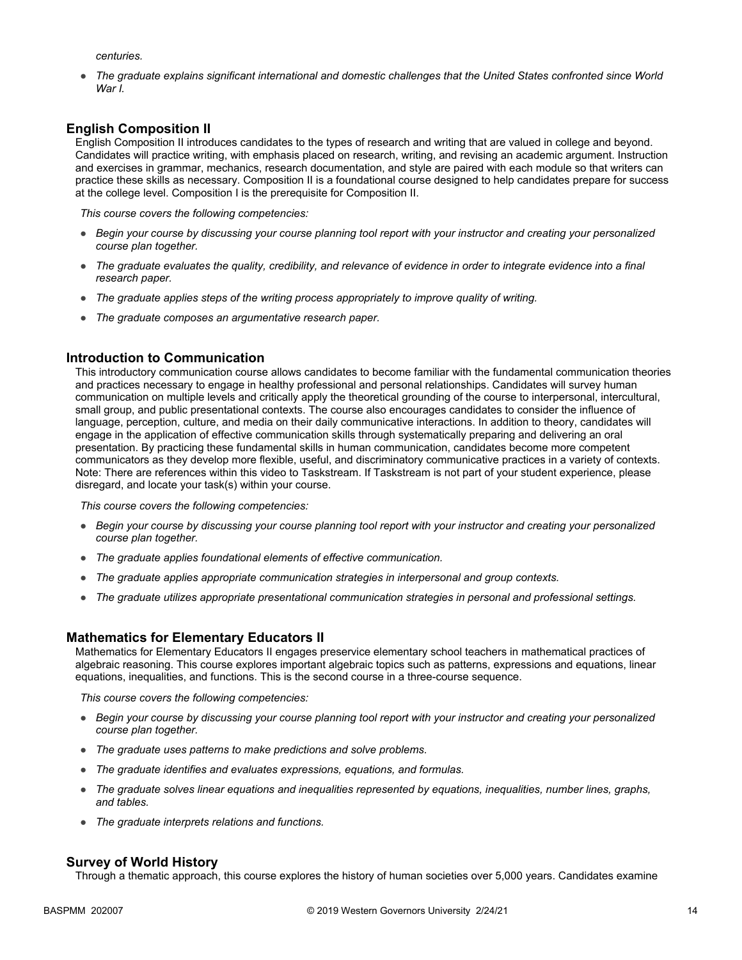*centuries.* 

● *The graduate explains significant international and domestic challenges that the United States confronted since World War I.* 

## **English Composition II**

English Composition II introduces candidates to the types of research and writing that are valued in college and beyond. Candidates will practice writing, with emphasis placed on research, writing, and revising an academic argument. Instruction and exercises in grammar, mechanics, research documentation, and style are paired with each module so that writers can practice these skills as necessary. Composition II is a foundational course designed to help candidates prepare for success at the college level. Composition I is the prerequisite for Composition II.

*This course covers the following competencies:*

- *Begin your course by discussing your course planning tool report with your instructor and creating your personalized course plan together.*
- *The graduate evaluates the quality, credibility, and relevance of evidence in order to integrate evidence into a final research paper.*
- *The graduate applies steps of the writing process appropriately to improve quality of writing.*
- *The graduate composes an argumentative research paper.*

## **Introduction to Communication**

This introductory communication course allows candidates to become familiar with the fundamental communication theories and practices necessary to engage in healthy professional and personal relationships. Candidates will survey human communication on multiple levels and critically apply the theoretical grounding of the course to interpersonal, intercultural, small group, and public presentational contexts. The course also encourages candidates to consider the influence of language, perception, culture, and media on their daily communicative interactions. In addition to theory, candidates will engage in the application of effective communication skills through systematically preparing and delivering an oral presentation. By practicing these fundamental skills in human communication, candidates become more competent communicators as they develop more flexible, useful, and discriminatory communicative practices in a variety of contexts. Note: There are references within this video to Taskstream. If Taskstream is not part of your student experience, please disregard, and locate your task(s) within your course.

*This course covers the following competencies:*

- *Begin your course by discussing your course planning tool report with your instructor and creating your personalized course plan together.*
- *The graduate applies foundational elements of effective communication.*
- *The graduate applies appropriate communication strategies in interpersonal and group contexts.*
- *The graduate utilizes appropriate presentational communication strategies in personal and professional settings.*

#### **Mathematics for Elementary Educators II**

Mathematics for Elementary Educators II engages preservice elementary school teachers in mathematical practices of algebraic reasoning. This course explores important algebraic topics such as patterns, expressions and equations, linear equations, inequalities, and functions. This is the second course in a three-course sequence.

*This course covers the following competencies:*

- *Begin your course by discussing your course planning tool report with your instructor and creating your personalized course plan together.*
- *The graduate uses patterns to make predictions and solve problems.*
- *The graduate identifies and evaluates expressions, equations, and formulas.*
- *The graduate solves linear equations and inequalities represented by equations, inequalities, number lines, graphs, and tables.*
- *The graduate interprets relations and functions.*

#### **Survey of World History**

Through a thematic approach, this course explores the history of human societies over 5,000 years. Candidates examine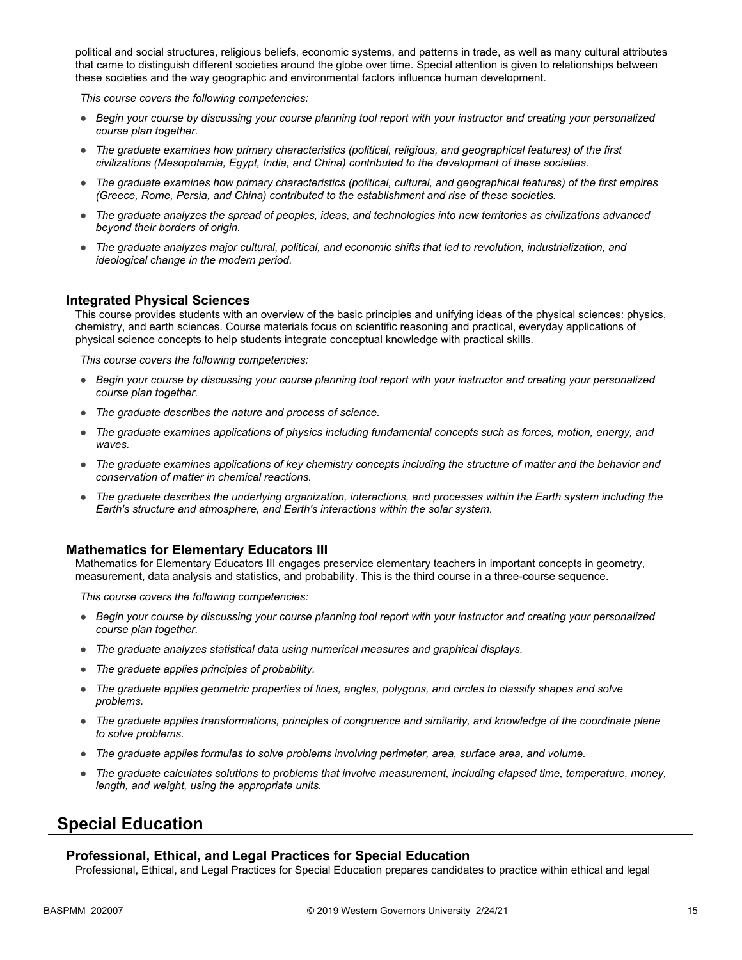political and social structures, religious beliefs, economic systems, and patterns in trade, as well as many cultural attributes that came to distinguish different societies around the globe over time. Special attention is given to relationships between these societies and the way geographic and environmental factors influence human development.

*This course covers the following competencies:*

- *Begin your course by discussing your course planning tool report with your instructor and creating your personalized course plan together.*
- *The graduate examines how primary characteristics (political, religious, and geographical features) of the first civilizations (Mesopotamia, Egypt, India, and China) contributed to the development of these societies.*
- *The graduate examines how primary characteristics (political, cultural, and geographical features) of the first empires (Greece, Rome, Persia, and China) contributed to the establishment and rise of these societies.*
- *The graduate analyzes the spread of peoples, ideas, and technologies into new territories as civilizations advanced beyond their borders of origin.*
- *The graduate analyzes major cultural, political, and economic shifts that led to revolution, industrialization, and ideological change in the modern period.*

#### **Integrated Physical Sciences**

This course provides students with an overview of the basic principles and unifying ideas of the physical sciences: physics, chemistry, and earth sciences. Course materials focus on scientific reasoning and practical, everyday applications of physical science concepts to help students integrate conceptual knowledge with practical skills.

*This course covers the following competencies:*

- *Begin your course by discussing your course planning tool report with your instructor and creating your personalized course plan together.*
- *The graduate describes the nature and process of science.*
- *The graduate examines applications of physics including fundamental concepts such as forces, motion, energy, and waves.*
- *The graduate examines applications of key chemistry concepts including the structure of matter and the behavior and conservation of matter in chemical reactions.*
- *The graduate describes the underlying organization, interactions, and processes within the Earth system including the Earth's structure and atmosphere, and Earth's interactions within the solar system.*

#### **Mathematics for Elementary Educators III**

Mathematics for Elementary Educators III engages preservice elementary teachers in important concepts in geometry, measurement, data analysis and statistics, and probability. This is the third course in a three-course sequence.

*This course covers the following competencies:*

- *Begin your course by discussing your course planning tool report with your instructor and creating your personalized course plan together.*
- *The graduate analyzes statistical data using numerical measures and graphical displays.*
- *The graduate applies principles of probability.*
- *The graduate applies geometric properties of lines, angles, polygons, and circles to classify shapes and solve problems.*
- *The graduate applies transformations, principles of congruence and similarity, and knowledge of the coordinate plane to solve problems.*
- *The graduate applies formulas to solve problems involving perimeter, area, surface area, and volume.*
- *The graduate calculates solutions to problems that involve measurement, including elapsed time, temperature, money, length, and weight, using the appropriate units.*

## **Special Education**

#### **Professional, Ethical, and Legal Practices for Special Education**

Professional, Ethical, and Legal Practices for Special Education prepares candidates to practice within ethical and legal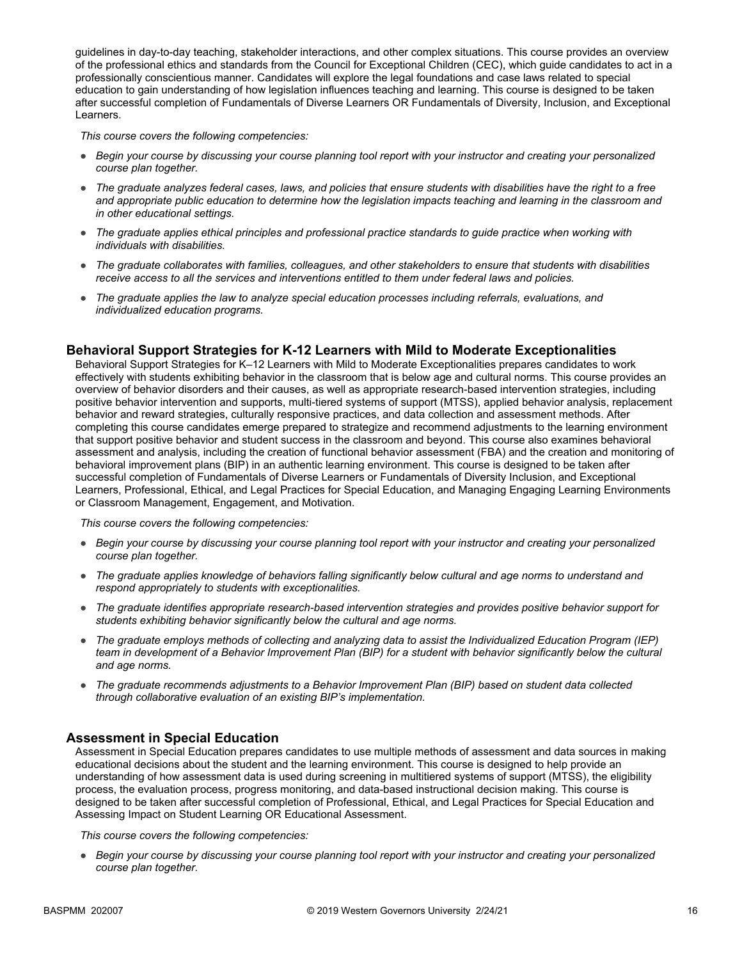guidelines in day-to-day teaching, stakeholder interactions, and other complex situations. This course provides an overview of the professional ethics and standards from the Council for Exceptional Children (CEC), which guide candidates to act in a professionally conscientious manner. Candidates will explore the legal foundations and case laws related to special education to gain understanding of how legislation influences teaching and learning. This course is designed to be taken after successful completion of Fundamentals of Diverse Learners OR Fundamentals of Diversity, Inclusion, and Exceptional Learners.

*This course covers the following competencies:*

- *Begin your course by discussing your course planning tool report with your instructor and creating your personalized course plan together.*
- *The graduate analyzes federal cases, laws, and policies that ensure students with disabilities have the right to a free*  and appropriate public education to determine how the legislation impacts teaching and learning in the classroom and *in other educational settings.*
- *The graduate applies ethical principles and professional practice standards to guide practice when working with individuals with disabilities.*
- *The graduate collaborates with families, colleagues, and other stakeholders to ensure that students with disabilities receive access to all the services and interventions entitled to them under federal laws and policies.*
- *The graduate applies the law to analyze special education processes including referrals, evaluations, and individualized education programs.*

## **Behavioral Support Strategies for K-12 Learners with Mild to Moderate Exceptionalities**

Behavioral Support Strategies for K–12 Learners with Mild to Moderate Exceptionalities prepares candidates to work effectively with students exhibiting behavior in the classroom that is below age and cultural norms. This course provides an overview of behavior disorders and their causes, as well as appropriate research-based intervention strategies, including positive behavior intervention and supports, multi-tiered systems of support (MTSS), applied behavior analysis, replacement behavior and reward strategies, culturally responsive practices, and data collection and assessment methods. After completing this course candidates emerge prepared to strategize and recommend adjustments to the learning environment that support positive behavior and student success in the classroom and beyond. This course also examines behavioral assessment and analysis, including the creation of functional behavior assessment (FBA) and the creation and monitoring of behavioral improvement plans (BIP) in an authentic learning environment. This course is designed to be taken after successful completion of Fundamentals of Diverse Learners or Fundamentals of Diversity Inclusion, and Exceptional Learners, Professional, Ethical, and Legal Practices for Special Education, and Managing Engaging Learning Environments or Classroom Management, Engagement, and Motivation.

*This course covers the following competencies:*

- *Begin your course by discussing your course planning tool report with your instructor and creating your personalized course plan together.*
- *The graduate applies knowledge of behaviors falling significantly below cultural and age norms to understand and respond appropriately to students with exceptionalities.*
- *The graduate identifies appropriate research-based intervention strategies and provides positive behavior support for students exhibiting behavior significantly below the cultural and age norms.*
- *The graduate employs methods of collecting and analyzing data to assist the Individualized Education Program (IEP) team in development of a Behavior Improvement Plan (BIP) for a student with behavior significantly below the cultural and age norms.*
- *The graduate recommends adjustments to a Behavior Improvement Plan (BIP) based on student data collected through collaborative evaluation of an existing BIP's implementation.*

#### **Assessment in Special Education**

Assessment in Special Education prepares candidates to use multiple methods of assessment and data sources in making educational decisions about the student and the learning environment. This course is designed to help provide an understanding of how assessment data is used during screening in multitiered systems of support (MTSS), the eligibility process, the evaluation process, progress monitoring, and data-based instructional decision making. This course is designed to be taken after successful completion of Professional, Ethical, and Legal Practices for Special Education and Assessing Impact on Student Learning OR Educational Assessment.

*This course covers the following competencies:*

● *Begin your course by discussing your course planning tool report with your instructor and creating your personalized course plan together.*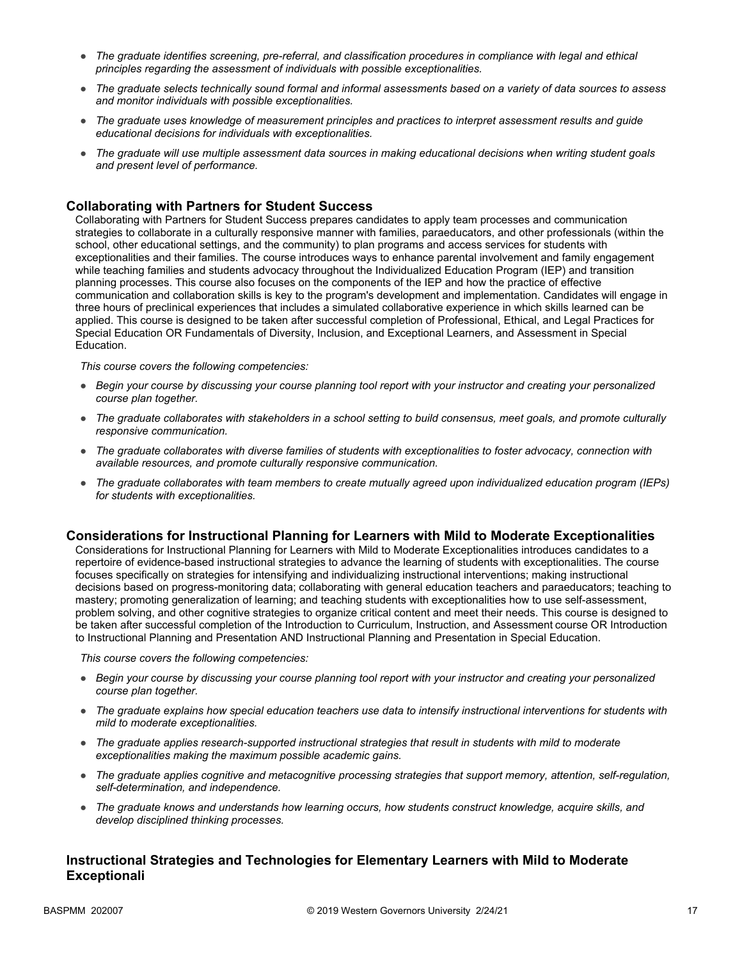- *The graduate identifies screening, pre-referral, and classification procedures in compliance with legal and ethical principles regarding the assessment of individuals with possible exceptionalities.*
- *The graduate selects technically sound formal and informal assessments based on a variety of data sources to assess and monitor individuals with possible exceptionalities.*
- *The graduate uses knowledge of measurement principles and practices to interpret assessment results and guide educational decisions for individuals with exceptionalities.*
- *The graduate will use multiple assessment data sources in making educational decisions when writing student goals and present level of performance.*

## **Collaborating with Partners for Student Success**

Collaborating with Partners for Student Success prepares candidates to apply team processes and communication strategies to collaborate in a culturally responsive manner with families, paraeducators, and other professionals (within the school, other educational settings, and the community) to plan programs and access services for students with exceptionalities and their families. The course introduces ways to enhance parental involvement and family engagement while teaching families and students advocacy throughout the Individualized Education Program (IEP) and transition planning processes. This course also focuses on the components of the IEP and how the practice of effective communication and collaboration skills is key to the program's development and implementation. Candidates will engage in three hours of preclinical experiences that includes a simulated collaborative experience in which skills learned can be applied. This course is designed to be taken after successful completion of Professional, Ethical, and Legal Practices for Special Education OR Fundamentals of Diversity, Inclusion, and Exceptional Learners, and Assessment in Special Education.

*This course covers the following competencies:*

- *Begin your course by discussing your course planning tool report with your instructor and creating your personalized course plan together.*
- *The graduate collaborates with stakeholders in a school setting to build consensus, meet goals, and promote culturally responsive communication.*
- *The graduate collaborates with diverse families of students with exceptionalities to foster advocacy, connection with available resources, and promote culturally responsive communication.*
- *The graduate collaborates with team members to create mutually agreed upon individualized education program (IEPs) for students with exceptionalities.*

#### **Considerations for Instructional Planning for Learners with Mild to Moderate Exceptionalities**

Considerations for Instructional Planning for Learners with Mild to Moderate Exceptionalities introduces candidates to a repertoire of evidence-based instructional strategies to advance the learning of students with exceptionalities. The course focuses specifically on strategies for intensifying and individualizing instructional interventions; making instructional decisions based on progress-monitoring data; collaborating with general education teachers and paraeducators; teaching to mastery; promoting generalization of learning; and teaching students with exceptionalities how to use self-assessment, problem solving, and other cognitive strategies to organize critical content and meet their needs. This course is designed to be taken after successful completion of the Introduction to Curriculum, Instruction, and Assessment course OR Introduction to Instructional Planning and Presentation AND Instructional Planning and Presentation in Special Education.

*This course covers the following competencies:*

- *Begin your course by discussing your course planning tool report with your instructor and creating your personalized course plan together.*
- *The graduate explains how special education teachers use data to intensify instructional interventions for students with mild to moderate exceptionalities.*
- *The graduate applies research-supported instructional strategies that result in students with mild to moderate exceptionalities making the maximum possible academic gains.*
- *The graduate applies cognitive and metacognitive processing strategies that support memory, attention, self-regulation, self-determination, and independence.*
- *The graduate knows and understands how learning occurs, how students construct knowledge, acquire skills, and develop disciplined thinking processes.*

## **Instructional Strategies and Technologies for Elementary Learners with Mild to Moderate Exceptionali**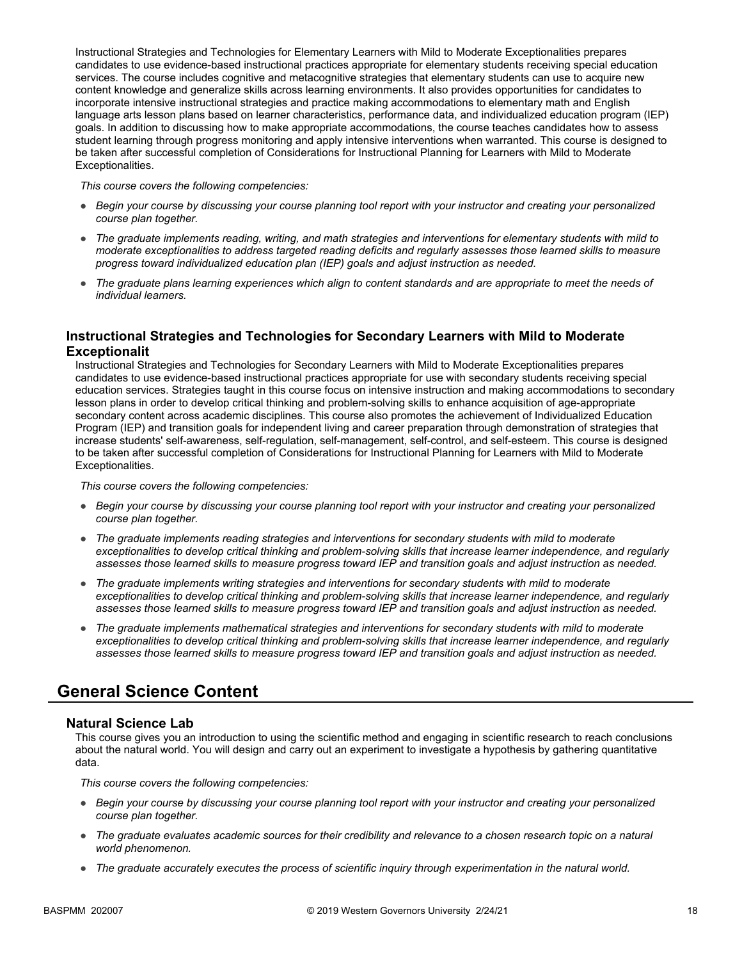Instructional Strategies and Technologies for Elementary Learners with Mild to Moderate Exceptionalities prepares candidates to use evidence-based instructional practices appropriate for elementary students receiving special education services. The course includes cognitive and metacognitive strategies that elementary students can use to acquire new content knowledge and generalize skills across learning environments. It also provides opportunities for candidates to incorporate intensive instructional strategies and practice making accommodations to elementary math and English language arts lesson plans based on learner characteristics, performance data, and individualized education program (IEP) goals. In addition to discussing how to make appropriate accommodations, the course teaches candidates how to assess student learning through progress monitoring and apply intensive interventions when warranted. This course is designed to be taken after successful completion of Considerations for Instructional Planning for Learners with Mild to Moderate Exceptionalities.

*This course covers the following competencies:*

- *Begin your course by discussing your course planning tool report with your instructor and creating your personalized course plan together.*
- *The graduate implements reading, writing, and math strategies and interventions for elementary students with mild to moderate exceptionalities to address targeted reading deficits and regularly assesses those learned skills to measure progress toward individualized education plan (IEP) goals and adjust instruction as needed.*
- *The graduate plans learning experiences which align to content standards and are appropriate to meet the needs of individual learners.*

## **Instructional Strategies and Technologies for Secondary Learners with Mild to Moderate Exceptionalit**

Instructional Strategies and Technologies for Secondary Learners with Mild to Moderate Exceptionalities prepares candidates to use evidence-based instructional practices appropriate for use with secondary students receiving special education services. Strategies taught in this course focus on intensive instruction and making accommodations to secondary lesson plans in order to develop critical thinking and problem-solving skills to enhance acquisition of age-appropriate secondary content across academic disciplines. This course also promotes the achievement of Individualized Education Program (IEP) and transition goals for independent living and career preparation through demonstration of strategies that increase students' self-awareness, self-regulation, self-management, self-control, and self-esteem. This course is designed to be taken after successful completion of Considerations for Instructional Planning for Learners with Mild to Moderate Exceptionalities.

*This course covers the following competencies:*

- *Begin your course by discussing your course planning tool report with your instructor and creating your personalized course plan together.*
- *The graduate implements reading strategies and interventions for secondary students with mild to moderate exceptionalities to develop critical thinking and problem-solving skills that increase learner independence, and regularly assesses those learned skills to measure progress toward IEP and transition goals and adjust instruction as needed.*
- *The graduate implements writing strategies and interventions for secondary students with mild to moderate exceptionalities to develop critical thinking and problem-solving skills that increase learner independence, and regularly assesses those learned skills to measure progress toward IEP and transition goals and adjust instruction as needed.*
- *The graduate implements mathematical strategies and interventions for secondary students with mild to moderate exceptionalities to develop critical thinking and problem-solving skills that increase learner independence, and regularly assesses those learned skills to measure progress toward IEP and transition goals and adjust instruction as needed.*

# **General Science Content**

#### **Natural Science Lab**

This course gives you an introduction to using the scientific method and engaging in scientific research to reach conclusions about the natural world. You will design and carry out an experiment to investigate a hypothesis by gathering quantitative data.

- *Begin your course by discussing your course planning tool report with your instructor and creating your personalized course plan together.*
- *The graduate evaluates academic sources for their credibility and relevance to a chosen research topic on a natural world phenomenon.*
- *The graduate accurately executes the process of scientific inquiry through experimentation in the natural world.*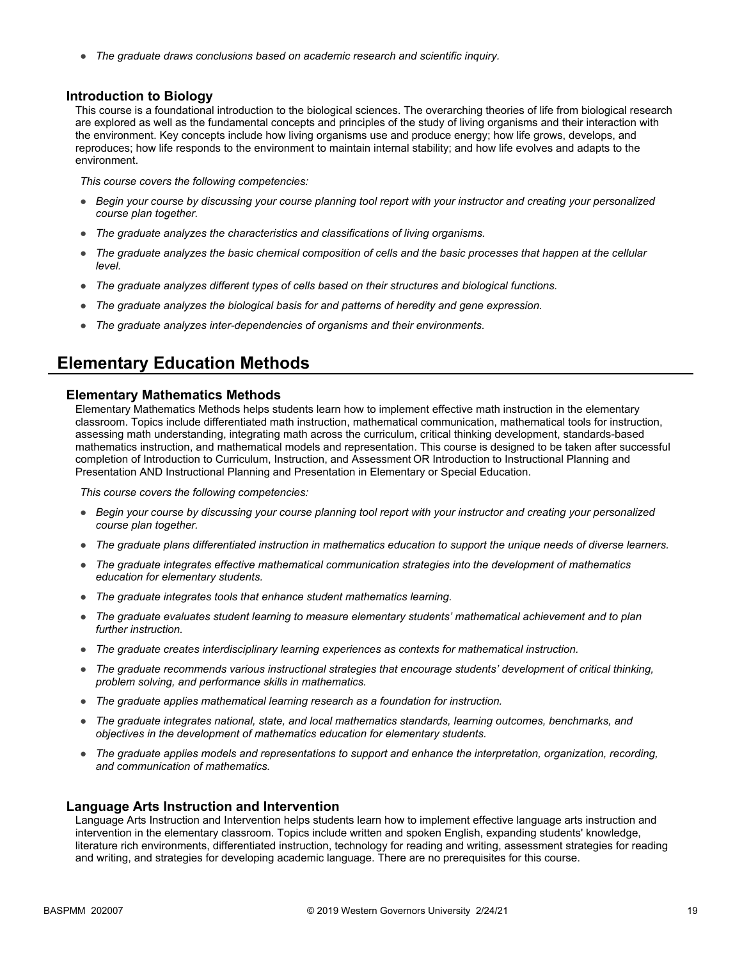● *The graduate draws conclusions based on academic research and scientific inquiry.*

#### **Introduction to Biology**

This course is a foundational introduction to the biological sciences. The overarching theories of life from biological research are explored as well as the fundamental concepts and principles of the study of living organisms and their interaction with the environment. Key concepts include how living organisms use and produce energy; how life grows, develops, and reproduces; how life responds to the environment to maintain internal stability; and how life evolves and adapts to the environment.

*This course covers the following competencies:*

- *Begin your course by discussing your course planning tool report with your instructor and creating your personalized course plan together.*
- *The graduate analyzes the characteristics and classifications of living organisms.*
- *The graduate analyzes the basic chemical composition of cells and the basic processes that happen at the cellular level.*
- *The graduate analyzes different types of cells based on their structures and biological functions.*
- *The graduate analyzes the biological basis for and patterns of heredity and gene expression.*
- *The graduate analyzes inter-dependencies of organisms and their environments.*

## **Elementary Education Methods**

#### **Elementary Mathematics Methods**

Elementary Mathematics Methods helps students learn how to implement effective math instruction in the elementary classroom. Topics include differentiated math instruction, mathematical communication, mathematical tools for instruction, assessing math understanding, integrating math across the curriculum, critical thinking development, standards-based mathematics instruction, and mathematical models and representation. This course is designed to be taken after successful completion of Introduction to Curriculum, Instruction, and Assessment OR Introduction to Instructional Planning and Presentation AND Instructional Planning and Presentation in Elementary or Special Education.

*This course covers the following competencies:*

- *Begin your course by discussing your course planning tool report with your instructor and creating your personalized course plan together.*
- *The graduate plans differentiated instruction in mathematics education to support the unique needs of diverse learners.*
- *The graduate integrates effective mathematical communication strategies into the development of mathematics education for elementary students.*
- *The graduate integrates tools that enhance student mathematics learning.*
- *The graduate evaluates student learning to measure elementary students' mathematical achievement and to plan further instruction.*
- *The graduate creates interdisciplinary learning experiences as contexts for mathematical instruction.*
- *The graduate recommends various instructional strategies that encourage students' development of critical thinking, problem solving, and performance skills in mathematics.*
- *The graduate applies mathematical learning research as a foundation for instruction.*
- *The graduate integrates national, state, and local mathematics standards, learning outcomes, benchmarks, and objectives in the development of mathematics education for elementary students.*
- *The graduate applies models and representations to support and enhance the interpretation, organization, recording, and communication of mathematics.*

#### **Language Arts Instruction and Intervention**

Language Arts Instruction and Intervention helps students learn how to implement effective language arts instruction and intervention in the elementary classroom. Topics include written and spoken English, expanding students' knowledge, literature rich environments, differentiated instruction, technology for reading and writing, assessment strategies for reading and writing, and strategies for developing academic language. There are no prerequisites for this course.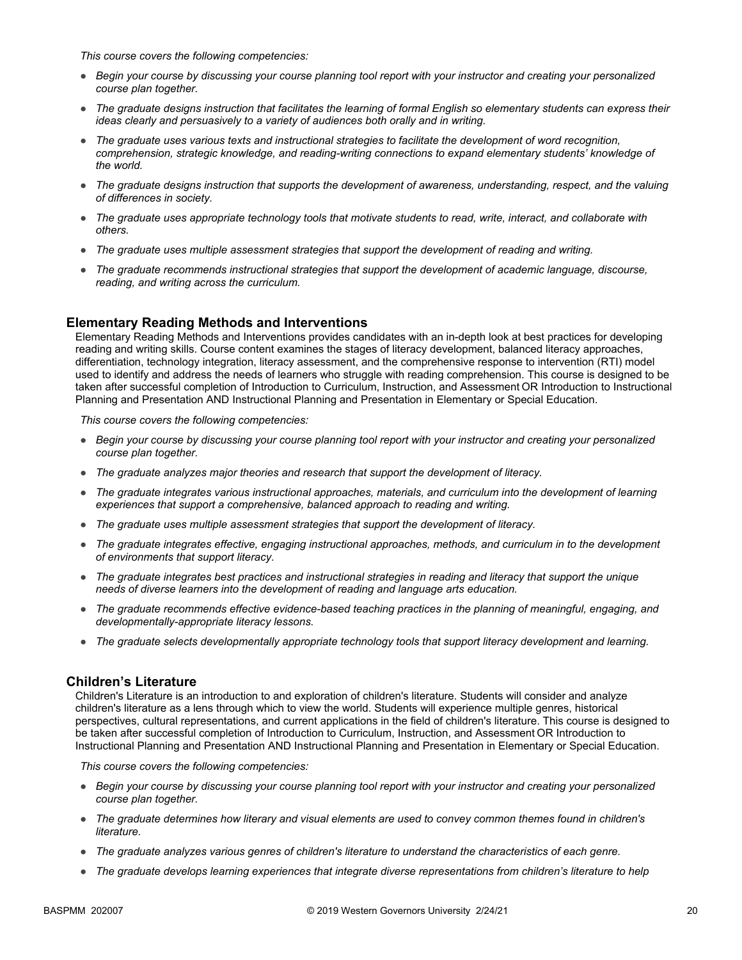*This course covers the following competencies:*

- *Begin your course by discussing your course planning tool report with your instructor and creating your personalized course plan together.*
- *The graduate designs instruction that facilitates the learning of formal English so elementary students can express their ideas clearly and persuasively to a variety of audiences both orally and in writing.*
- *The graduate uses various texts and instructional strategies to facilitate the development of word recognition, comprehension, strategic knowledge, and reading-writing connections to expand elementary students' knowledge of the world.*
- *The graduate designs instruction that supports the development of awareness, understanding, respect, and the valuing of differences in society.*
- *The graduate uses appropriate technology tools that motivate students to read, write, interact, and collaborate with others.*
- *The graduate uses multiple assessment strategies that support the development of reading and writing.*
- *The graduate recommends instructional strategies that support the development of academic language, discourse, reading, and writing across the curriculum.*

## **Elementary Reading Methods and Interventions**

Elementary Reading Methods and Interventions provides candidates with an in-depth look at best practices for developing reading and writing skills. Course content examines the stages of literacy development, balanced literacy approaches, differentiation, technology integration, literacy assessment, and the comprehensive response to intervention (RTI) model used to identify and address the needs of learners who struggle with reading comprehension. This course is designed to be taken after successful completion of Introduction to Curriculum, Instruction, and Assessment OR Introduction to Instructional Planning and Presentation AND Instructional Planning and Presentation in Elementary or Special Education.

*This course covers the following competencies:*

- *Begin your course by discussing your course planning tool report with your instructor and creating your personalized course plan together.*
- *The graduate analyzes major theories and research that support the development of literacy.*
- *The graduate integrates various instructional approaches, materials, and curriculum into the development of learning experiences that support a comprehensive, balanced approach to reading and writing.*
- *The graduate uses multiple assessment strategies that support the development of literacy.*
- *The graduate integrates effective, engaging instructional approaches, methods, and curriculum in to the development of environments that support literacy.*
- *The graduate integrates best practices and instructional strategies in reading and literacy that support the unique needs of diverse learners into the development of reading and language arts education.*
- *The graduate recommends effective evidence-based teaching practices in the planning of meaningful, engaging, and developmentally-appropriate literacy lessons.*
- *The graduate selects developmentally appropriate technology tools that support literacy development and learning.*

#### **Children's Literature**

Children's Literature is an introduction to and exploration of children's literature. Students will consider and analyze children's literature as a lens through which to view the world. Students will experience multiple genres, historical perspectives, cultural representations, and current applications in the field of children's literature. This course is designed to be taken after successful completion of Introduction to Curriculum, Instruction, and Assessment OR Introduction to Instructional Planning and Presentation AND Instructional Planning and Presentation in Elementary or Special Education.

- *Begin your course by discussing your course planning tool report with your instructor and creating your personalized course plan together.*
- *The graduate determines how literary and visual elements are used to convey common themes found in children's literature.*
- *The graduate analyzes various genres of children's literature to understand the characteristics of each genre.*
- *The graduate develops learning experiences that integrate diverse representations from children's literature to help*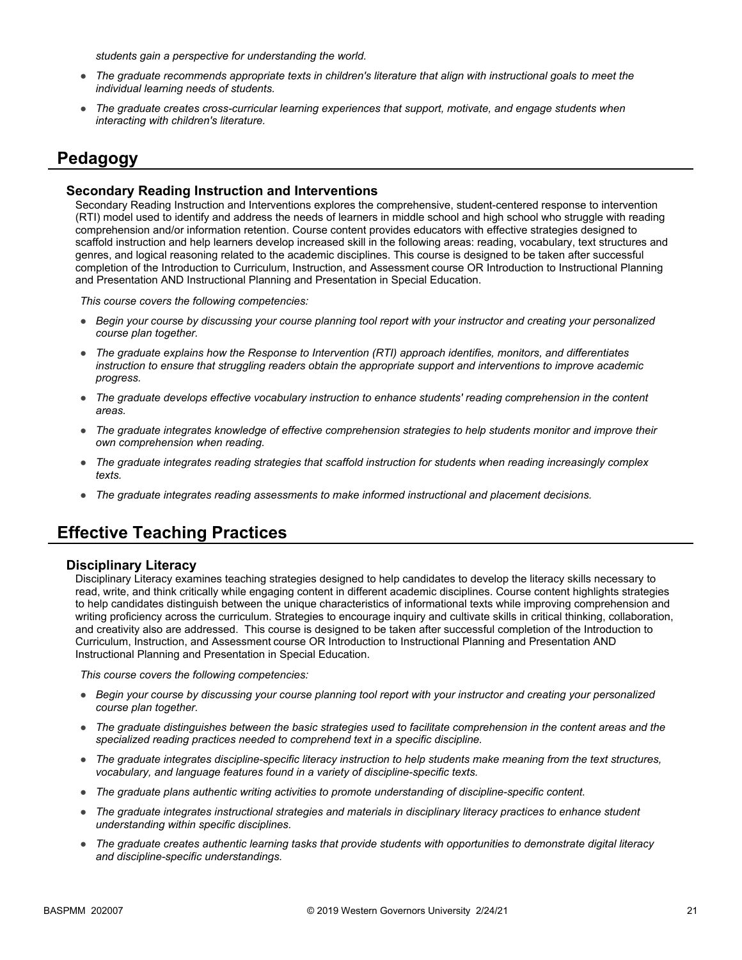*students gain a perspective for understanding the world.*

- *The graduate recommends appropriate texts in children's literature that align with instructional goals to meet the individual learning needs of students.*
- *The graduate creates cross-curricular learning experiences that support, motivate, and engage students when interacting with children's literature.*

# **Pedagogy**

#### **Secondary Reading Instruction and Interventions**

Secondary Reading Instruction and Interventions explores the comprehensive, student-centered response to intervention (RTI) model used to identify and address the needs of learners in middle school and high school who struggle with reading comprehension and/or information retention. Course content provides educators with effective strategies designed to scaffold instruction and help learners develop increased skill in the following areas: reading, vocabulary, text structures and genres, and logical reasoning related to the academic disciplines. This course is designed to be taken after successful completion of the Introduction to Curriculum, Instruction, and Assessment course OR Introduction to Instructional Planning and Presentation AND Instructional Planning and Presentation in Special Education.

*This course covers the following competencies:*

- *Begin your course by discussing your course planning tool report with your instructor and creating your personalized course plan together.*
- *The graduate explains how the Response to Intervention (RTI) approach identifies, monitors, and differentiates instruction to ensure that struggling readers obtain the appropriate support and interventions to improve academic progress.*
- *The graduate develops effective vocabulary instruction to enhance students' reading comprehension in the content areas.*
- *The graduate integrates knowledge of effective comprehension strategies to help students monitor and improve their own comprehension when reading.*
- *The graduate integrates reading strategies that scaffold instruction for students when reading increasingly complex texts.*
- *The graduate integrates reading assessments to make informed instructional and placement decisions.*

## **Effective Teaching Practices**

#### **Disciplinary Literacy**

Disciplinary Literacy examines teaching strategies designed to help candidates to develop the literacy skills necessary to read, write, and think critically while engaging content in different academic disciplines. Course content highlights strategies to help candidates distinguish between the unique characteristics of informational texts while improving comprehension and writing proficiency across the curriculum. Strategies to encourage inquiry and cultivate skills in critical thinking, collaboration, and creativity also are addressed. This course is designed to be taken after successful completion of the Introduction to Curriculum, Instruction, and Assessment course OR Introduction to Instructional Planning and Presentation AND Instructional Planning and Presentation in Special Education.

- *Begin your course by discussing your course planning tool report with your instructor and creating your personalized course plan together.*
- *The graduate distinguishes between the basic strategies used to facilitate comprehension in the content areas and the specialized reading practices needed to comprehend text in a specific discipline.*
- *The graduate integrates discipline-specific literacy instruction to help students make meaning from the text structures, vocabulary, and language features found in a variety of discipline-specific texts.*
- *The graduate plans authentic writing activities to promote understanding of discipline-specific content.*
- *The graduate integrates instructional strategies and materials in disciplinary literacy practices to enhance student understanding within specific disciplines.*
- *The graduate creates authentic learning tasks that provide students with opportunities to demonstrate digital literacy and discipline-specific understandings.*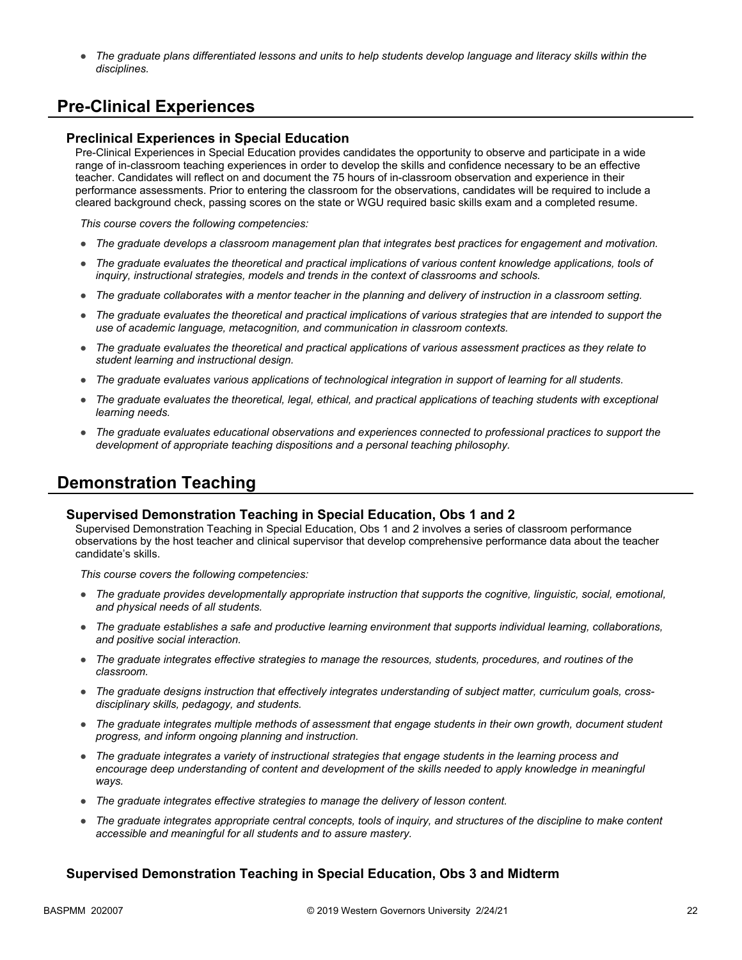● *The graduate plans differentiated lessons and units to help students develop language and literacy skills within the disciplines.* 

# **Pre-Clinical Experiences**

#### **Preclinical Experiences in Special Education**

Pre-Clinical Experiences in Special Education provides candidates the opportunity to observe and participate in a wide range of in-classroom teaching experiences in order to develop the skills and confidence necessary to be an effective teacher. Candidates will reflect on and document the 75 hours of in-classroom observation and experience in their performance assessments. Prior to entering the classroom for the observations, candidates will be required to include a cleared background check, passing scores on the state or WGU required basic skills exam and a completed resume.

*This course covers the following competencies:*

- *The graduate develops a classroom management plan that integrates best practices for engagement and motivation.*
- The graduate evaluates the theoretical and practical implications of various content knowledge applications, tools of *inquiry, instructional strategies, models and trends in the context of classrooms and schools.*
- *The graduate collaborates with a mentor teacher in the planning and delivery of instruction in a classroom setting.*
- *The graduate evaluates the theoretical and practical implications of various strategies that are intended to support the use of academic language, metacognition, and communication in classroom contexts.*
- *The graduate evaluates the theoretical and practical applications of various assessment practices as they relate to student learning and instructional design.*
- *The graduate evaluates various applications of technological integration in support of learning for all students.*
- The graduate evaluates the theoretical, legal, ethical, and practical applications of teaching students with exceptional *learning needs.*
- *The graduate evaluates educational observations and experiences connected to professional practices to support the development of appropriate teaching dispositions and a personal teaching philosophy.*

## **Demonstration Teaching**

#### **Supervised Demonstration Teaching in Special Education, Obs 1 and 2**

Supervised Demonstration Teaching in Special Education, Obs 1 and 2 involves a series of classroom performance observations by the host teacher and clinical supervisor that develop comprehensive performance data about the teacher candidate's skills.

*This course covers the following competencies:*

- *The graduate provides developmentally appropriate instruction that supports the cognitive, linguistic, social, emotional, and physical needs of all students.*
- *The graduate establishes a safe and productive learning environment that supports individual learning, collaborations, and positive social interaction.*
- *The graduate integrates effective strategies to manage the resources, students, procedures, and routines of the classroom.*
- *The graduate designs instruction that effectively integrates understanding of subject matter, curriculum goals, crossdisciplinary skills, pedagogy, and students.*
- *The graduate integrates multiple methods of assessment that engage students in their own growth, document student progress, and inform ongoing planning and instruction.*
- *The graduate integrates a variety of instructional strategies that engage students in the learning process and*  encourage deep understanding of content and development of the skills needed to apply knowledge in meaningful *ways.*
- *The graduate integrates effective strategies to manage the delivery of lesson content.*
- *The graduate integrates appropriate central concepts, tools of inquiry, and structures of the discipline to make content accessible and meaningful for all students and to assure mastery.*

## **Supervised Demonstration Teaching in Special Education, Obs 3 and Midterm**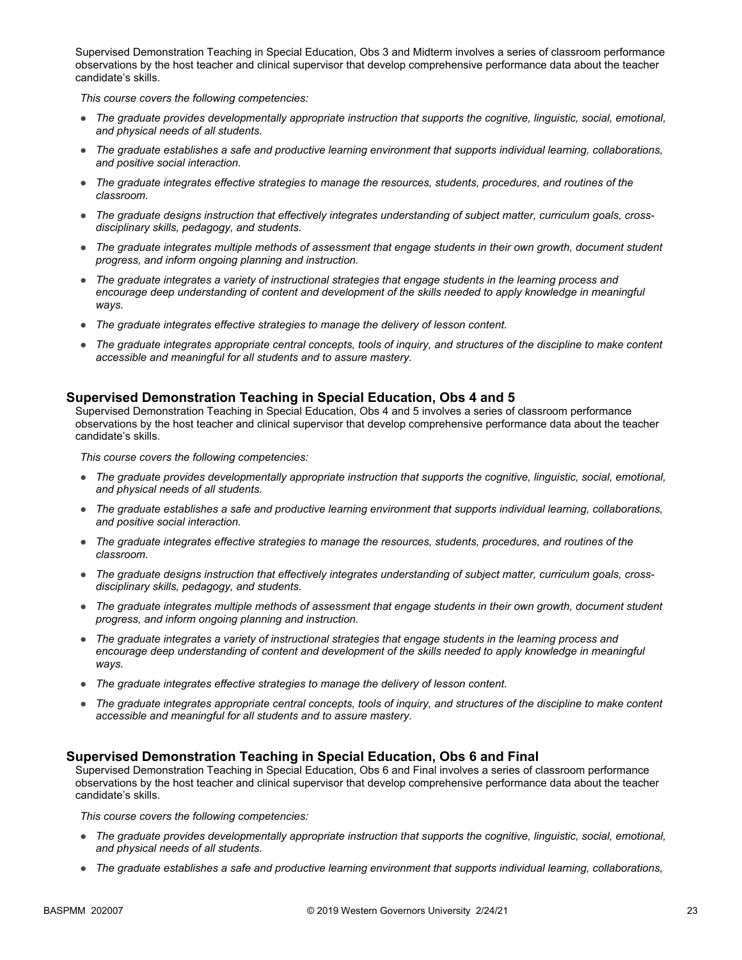Supervised Demonstration Teaching in Special Education, Obs 3 and Midterm involves a series of classroom performance observations by the host teacher and clinical supervisor that develop comprehensive performance data about the teacher candidate's skills.

*This course covers the following competencies:*

- *The graduate provides developmentally appropriate instruction that supports the cognitive, linguistic, social, emotional, and physical needs of all students.*
- *The graduate establishes a safe and productive learning environment that supports individual learning, collaborations, and positive social interaction.*
- *The graduate integrates effective strategies to manage the resources, students, procedures, and routines of the classroom.*
- *The graduate designs instruction that effectively integrates understanding of subject matter, curriculum goals, crossdisciplinary skills, pedagogy, and students.*
- *The graduate integrates multiple methods of assessment that engage students in their own growth, document student progress, and inform ongoing planning and instruction.*
- *The graduate integrates a variety of instructional strategies that engage students in the learning process and*  encourage deep understanding of content and development of the skills needed to apply knowledge in meaningful *ways.*
- *The graduate integrates effective strategies to manage the delivery of lesson content.*
- *The graduate integrates appropriate central concepts, tools of inquiry, and structures of the discipline to make content accessible and meaningful for all students and to assure mastery.*

## **Supervised Demonstration Teaching in Special Education, Obs 4 and 5**

Supervised Demonstration Teaching in Special Education, Obs 4 and 5 involves a series of classroom performance observations by the host teacher and clinical supervisor that develop comprehensive performance data about the teacher candidate's skills.

*This course covers the following competencies:*

- *The graduate provides developmentally appropriate instruction that supports the cognitive, linguistic, social, emotional, and physical needs of all students.*
- *The graduate establishes a safe and productive learning environment that supports individual learning, collaborations, and positive social interaction.*
- *The graduate integrates effective strategies to manage the resources, students, procedures, and routines of the classroom.*
- *The graduate designs instruction that effectively integrates understanding of subject matter, curriculum goals, crossdisciplinary skills, pedagogy, and students.*
- *The graduate integrates multiple methods of assessment that engage students in their own growth, document student progress, and inform ongoing planning and instruction.*
- *The graduate integrates a variety of instructional strategies that engage students in the learning process and encourage deep understanding of content and development of the skills needed to apply knowledge in meaningful ways.*
- *The graduate integrates effective strategies to manage the delivery of lesson content.*
- *The graduate integrates appropriate central concepts, tools of inquiry, and structures of the discipline to make content accessible and meaningful for all students and to assure mastery.*

#### **Supervised Demonstration Teaching in Special Education, Obs 6 and Final**

Supervised Demonstration Teaching in Special Education, Obs 6 and Final involves a series of classroom performance observations by the host teacher and clinical supervisor that develop comprehensive performance data about the teacher candidate's skills.

- *The graduate provides developmentally appropriate instruction that supports the cognitive, linguistic, social, emotional, and physical needs of all students.*
- *The graduate establishes a safe and productive learning environment that supports individual learning, collaborations,*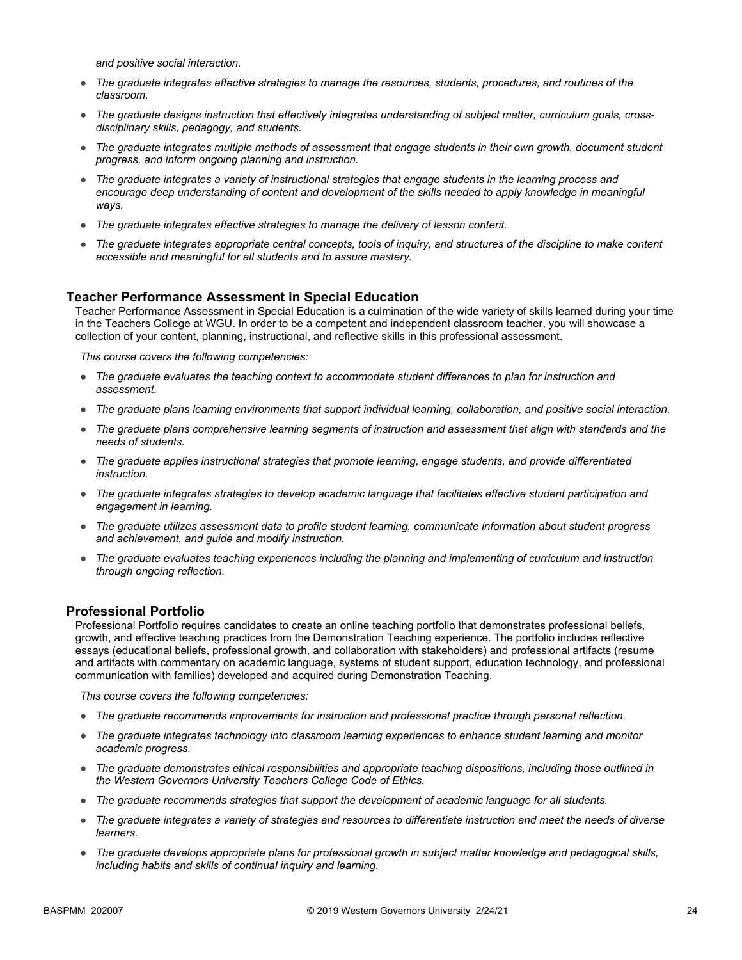*and positive social interaction.*

- *The graduate integrates effective strategies to manage the resources, students, procedures, and routines of the classroom.*
- *The graduate designs instruction that effectively integrates understanding of subject matter, curriculum goals, crossdisciplinary skills, pedagogy, and students.*
- *The graduate integrates multiple methods of assessment that engage students in their own growth, document student progress, and inform ongoing planning and instruction.*
- *The graduate integrates a variety of instructional strategies that engage students in the learning process and*  encourage deep understanding of content and development of the skills needed to apply knowledge in meaningful *ways.*
- *The graduate integrates effective strategies to manage the delivery of lesson content.*
- *The graduate integrates appropriate central concepts, tools of inquiry, and structures of the discipline to make content accessible and meaningful for all students and to assure mastery.*

## **Teacher Performance Assessment in Special Education**

Teacher Performance Assessment in Special Education is a culmination of the wide variety of skills learned during your time in the Teachers College at WGU. In order to be a competent and independent classroom teacher, you will showcase a collection of your content, planning, instructional, and reflective skills in this professional assessment.

*This course covers the following competencies:*

- *The graduate evaluates the teaching context to accommodate student differences to plan for instruction and assessment.*
- *The graduate plans learning environments that support individual learning, collaboration, and positive social interaction.*
- *The graduate plans comprehensive learning segments of instruction and assessment that align with standards and the needs of students.*
- *The graduate applies instructional strategies that promote learning, engage students, and provide differentiated instruction.*
- *The graduate integrates strategies to develop academic language that facilitates effective student participation and engagement in learning.*
- *The graduate utilizes assessment data to profile student learning, communicate information about student progress and achievement, and guide and modify instruction.*
- *The graduate evaluates teaching experiences including the planning and implementing of curriculum and instruction through ongoing reflection.*

#### **Professional Portfolio**

Professional Portfolio requires candidates to create an online teaching portfolio that demonstrates professional beliefs, growth, and effective teaching practices from the Demonstration Teaching experience. The portfolio includes reflective essays (educational beliefs, professional growth, and collaboration with stakeholders) and professional artifacts (resume and artifacts with commentary on academic language, systems of student support, education technology, and professional communication with families) developed and acquired during Demonstration Teaching.

- *The graduate recommends improvements for instruction and professional practice through personal reflection.*
- *The graduate integrates technology into classroom learning experiences to enhance student learning and monitor academic progress.*
- *The graduate demonstrates ethical responsibilities and appropriate teaching dispositions, including those outlined in the Western Governors University Teachers College Code of Ethics.*
- *The graduate recommends strategies that support the development of academic language for all students.*
- *The graduate integrates a variety of strategies and resources to differentiate instruction and meet the needs of diverse learners.*
- *The graduate develops appropriate plans for professional growth in subject matter knowledge and pedagogical skills, including habits and skills of continual inquiry and learning.*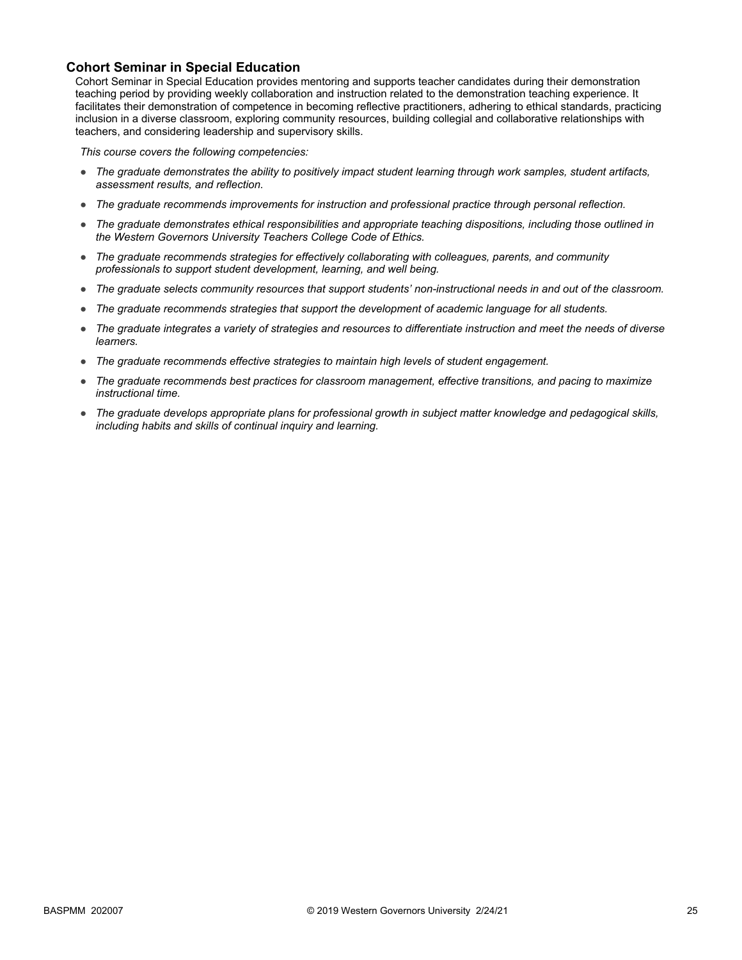## **Cohort Seminar in Special Education**

Cohort Seminar in Special Education provides mentoring and supports teacher candidates during their demonstration teaching period by providing weekly collaboration and instruction related to the demonstration teaching experience. It facilitates their demonstration of competence in becoming reflective practitioners, adhering to ethical standards, practicing inclusion in a diverse classroom, exploring community resources, building collegial and collaborative relationships with teachers, and considering leadership and supervisory skills.

- *The graduate demonstrates the ability to positively impact student learning through work samples, student artifacts, assessment results, and reflection.*
- *The graduate recommends improvements for instruction and professional practice through personal reflection.*
- *The graduate demonstrates ethical responsibilities and appropriate teaching dispositions, including those outlined in the Western Governors University Teachers College Code of Ethics.*
- *The graduate recommends strategies for effectively collaborating with colleagues, parents, and community professionals to support student development, learning, and well being.*
- *The graduate selects community resources that support students' non-instructional needs in and out of the classroom.*
- *The graduate recommends strategies that support the development of academic language for all students.*
- *The graduate integrates a variety of strategies and resources to differentiate instruction and meet the needs of diverse learners.*
- *The graduate recommends effective strategies to maintain high levels of student engagement.*
- *The graduate recommends best practices for classroom management, effective transitions, and pacing to maximize instructional time.*
- *The graduate develops appropriate plans for professional growth in subject matter knowledge and pedagogical skills, including habits and skills of continual inquiry and learning.*